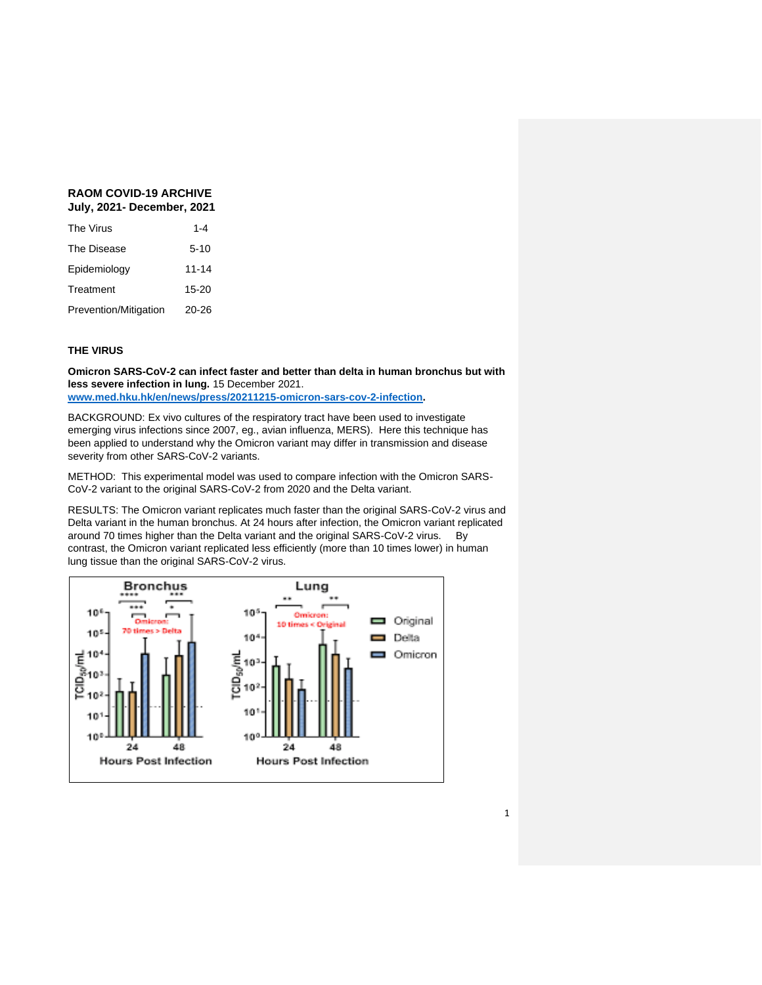# **RAOM COVID-19 ARCHIVE July, 2021- December, 2021**

| The Virus             | $1 - 4$  |
|-----------------------|----------|
| The Disease           | $5 - 10$ |
| Epidemiology          | 11-14    |
| Treatment             | 15-20    |
| Prevention/Mitigation | 20-26    |

## **THE VIRUS**

**Omicron SARS-CoV-2 can infect faster and better than delta in human bronchus but with less severe infection in lung.** 15 December 2021.

**[www.med.hku.hk/en/news/press/20211215-omicron-sars-cov-2-infection.](http://www.med.hku.hk/en/news/press/20211215-omicron-sars-cov-2-infection)**

BACKGROUND: Ex vivo cultures of the respiratory tract have been used to investigate emerging virus infections since 2007, eg., avian influenza, MERS). Here this technique has been applied to understand why the Omicron variant may differ in transmission and disease severity from other SARS-CoV-2 variants.

METHOD: This experimental model was used to compare infection with the Omicron SARS-CoV-2 variant to the original SARS-CoV-2 from 2020 and the Delta variant.

RESULTS: The Omicron variant replicates much faster than the original SARS-CoV-2 virus and Delta variant in the human bronchus. At 24 hours after infection, the Omicron variant replicated around 70 times higher than the Delta variant and the original SARS-CoV-2 virus. By contrast, the Omicron variant replicated less efficiently (more than 10 times lower) in human lung tissue than the original SARS-CoV-2 virus.

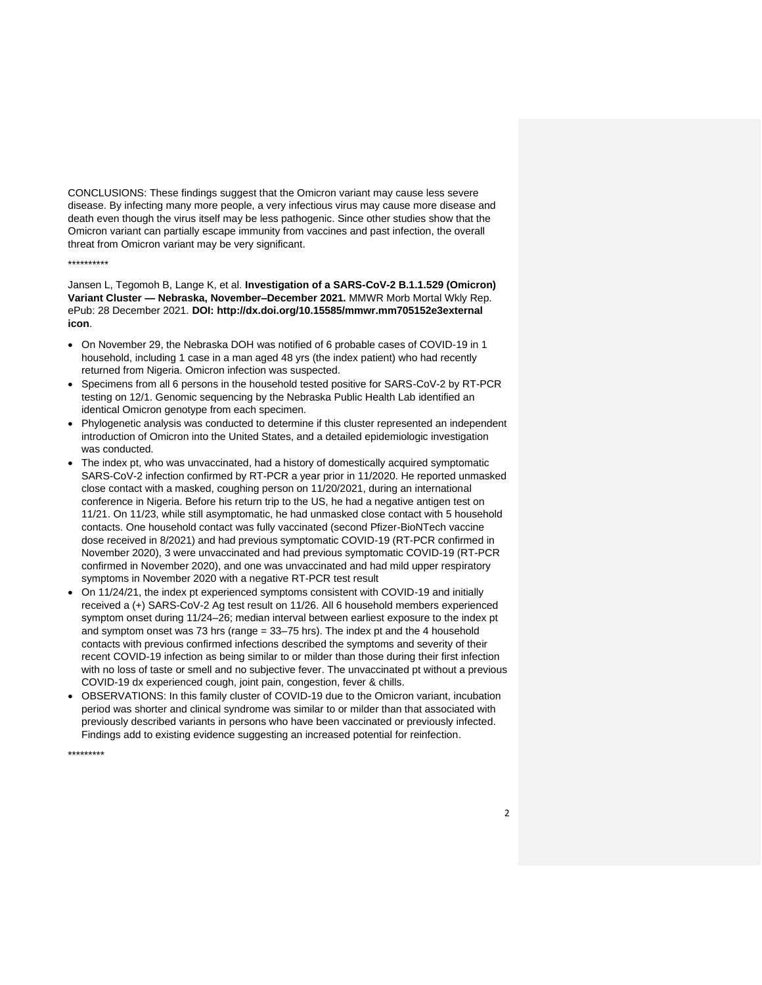CONCLUSIONS: These findings suggest that the Omicron variant may cause less severe disease. By infecting many more people, a very infectious virus may cause more disease and death even though the virus itself may be less pathogenic. Since other studies show that the Omicron variant can partially escape immunity from vaccines and past infection, the overall threat from Omicron variant may be very significant.

#### \*\*\*\*\*\*\*\*\*\*

Jansen L, Tegomoh B, Lange K, et al. **Investigation of a SARS-CoV-2 B.1.1.529 (Omicron) Variant Cluster — Nebraska, November–December 2021.** MMWR Morb Mortal Wkly Rep. ePub: 28 December 2021. **DOI: http://dx.doi.org/10.15585/mmwr.mm705152e3external icon**.

- On November 29, the Nebraska DOH was notified of 6 probable cases of COVID-19 in 1 household, including 1 case in a man aged 48 yrs (the index patient) who had recently returned from Nigeria. Omicron infection was suspected.
- Specimens from all 6 persons in the household tested positive for SARS-CoV-2 by RT-PCR testing on 12/1. Genomic sequencing by the Nebraska Public Health Lab identified an identical Omicron genotype from each specimen.
- Phylogenetic analysis was conducted to determine if this cluster represented an independent introduction of Omicron into the United States, and a detailed epidemiologic investigation was conducted.
- The index pt, who was unvaccinated, had a history of domestically acquired symptomatic SARS-CoV-2 infection confirmed by RT-PCR a year prior in 11/2020. He reported unmasked close contact with a masked, coughing person on 11/20/2021, during an international conference in Nigeria. Before his return trip to the US, he had a negative antigen test on 11/21. On 11/23, while still asymptomatic, he had unmasked close contact with 5 household contacts. One household contact was fully vaccinated (second Pfizer-BioNTech vaccine dose received in 8/2021) and had previous symptomatic COVID-19 (RT-PCR confirmed in November 2020), 3 were unvaccinated and had previous symptomatic COVID-19 (RT-PCR confirmed in November 2020), and one was unvaccinated and had mild upper respiratory symptoms in November 2020 with a negative RT-PCR test result
- On 11/24/21, the index pt experienced symptoms consistent with COVID-19 and initially received a (+) SARS-CoV-2 Ag test result on 11/26. All 6 household members experienced symptom onset during 11/24–26; median interval between earliest exposure to the index pt and symptom onset was 73 hrs (range = 33–75 hrs). The index pt and the 4 household contacts with previous confirmed infections described the symptoms and severity of their recent COVID-19 infection as being similar to or milder than those during their first infection with no loss of taste or smell and no subjective fever. The unvaccinated pt without a previous COVID-19 dx experienced cough, joint pain, congestion, fever & chills.
- OBSERVATIONS: In this family cluster of COVID-19 due to the Omicron variant, incubation period was shorter and clinical syndrome was similar to or milder than that associated with previously described variants in persons who have been vaccinated or previously infected. Findings add to existing evidence suggesting an increased potential for reinfection.

\*\*\*\*\*\*\*\*\*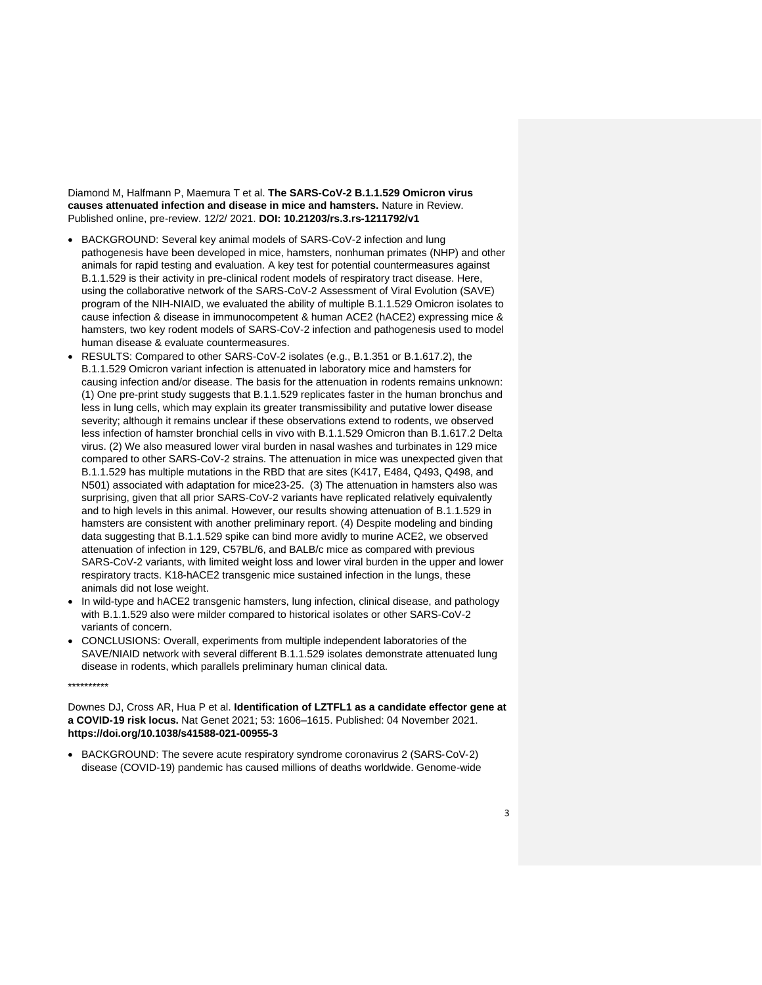Diamond M, Halfmann P, Maemura T et al. **The SARS-CoV-2 B.1.1.529 Omicron virus causes attenuated infection and disease in mice and hamsters.** Nature in Review. Published online, pre-review. 12/2/ 2021. **DOI: 10.21203/rs.3.rs-1211792/v1**

- BACKGROUND: Several key animal models of SARS-CoV-2 infection and lung pathogenesis have been developed in mice, hamsters, nonhuman primates (NHP) and other animals for rapid testing and evaluation. A key test for potential countermeasures against B.1.1.529 is their activity in pre-clinical rodent models of respiratory tract disease. Here, using the collaborative network of the SARS-CoV-2 Assessment of Viral Evolution (SAVE) program of the NIH-NIAID, we evaluated the ability of multiple B.1.1.529 Omicron isolates to cause infection & disease in immunocompetent & human ACE2 (hACE2) expressing mice & hamsters, two key rodent models of SARS-CoV-2 infection and pathogenesis used to model human disease & evaluate countermeasures.
- RESULTS: Compared to other SARS-CoV-2 isolates (e.g., B.1.351 or B.1.617.2), the B.1.1.529 Omicron variant infection is attenuated in laboratory mice and hamsters for causing infection and/or disease. The basis for the attenuation in rodents remains unknown: (1) One pre-print study suggests that B.1.1.529 replicates faster in the human bronchus and less in lung cells, which may explain its greater transmissibility and putative lower disease severity; although it remains unclear if these observations extend to rodents, we observed less infection of hamster bronchial cells in vivo with B.1.1.529 Omicron than B.1.617.2 Delta virus. (2) We also measured lower viral burden in nasal washes and turbinates in 129 mice compared to other SARS-CoV-2 strains. The attenuation in mice was unexpected given that B.1.1.529 has multiple mutations in the RBD that are sites (K417, E484, Q493, Q498, and N501) associated with adaptation for mice23-25. (3) The attenuation in hamsters also was surprising, given that all prior SARS-CoV-2 variants have replicated relatively equivalently and to high levels in this animal. However, our results showing attenuation of B.1.1.529 in hamsters are consistent with another preliminary report. (4) Despite modeling and binding data suggesting that B.1.1.529 spike can bind more avidly to murine ACE2, we observed attenuation of infection in 129, C57BL/6, and BALB/c mice as compared with previous SARS-CoV-2 variants, with limited weight loss and lower viral burden in the upper and lower respiratory tracts. K18-hACE2 transgenic mice sustained infection in the lungs, these animals did not lose weight.
- In wild-type and hACE2 transgenic hamsters, lung infection, clinical disease, and pathology with B.1.1.529 also were milder compared to historical isolates or other SARS-CoV-2 variants of concern.
- CONCLUSIONS: Overall, experiments from multiple independent laboratories of the SAVE/NIAID network with several different B.1.1.529 isolates demonstrate attenuated lung disease in rodents, which parallels preliminary human clinical data.

\*\*\*\*\*\*\*\*\*\*

Downes DJ, Cross AR, Hua P et al. **Identification of LZTFL1 as a candidate effector gene at a COVID-19 risk locus.** Nat Genet 2021; 53: 1606–1615. Published: 04 November 2021. **https://doi.org/10.1038/s41588-021-00955-3**

• BACKGROUND: The severe acute respiratory syndrome coronavirus 2 (SARS-CoV-2) disease (COVID-19) pandemic has caused millions of deaths worldwide. Genome-wide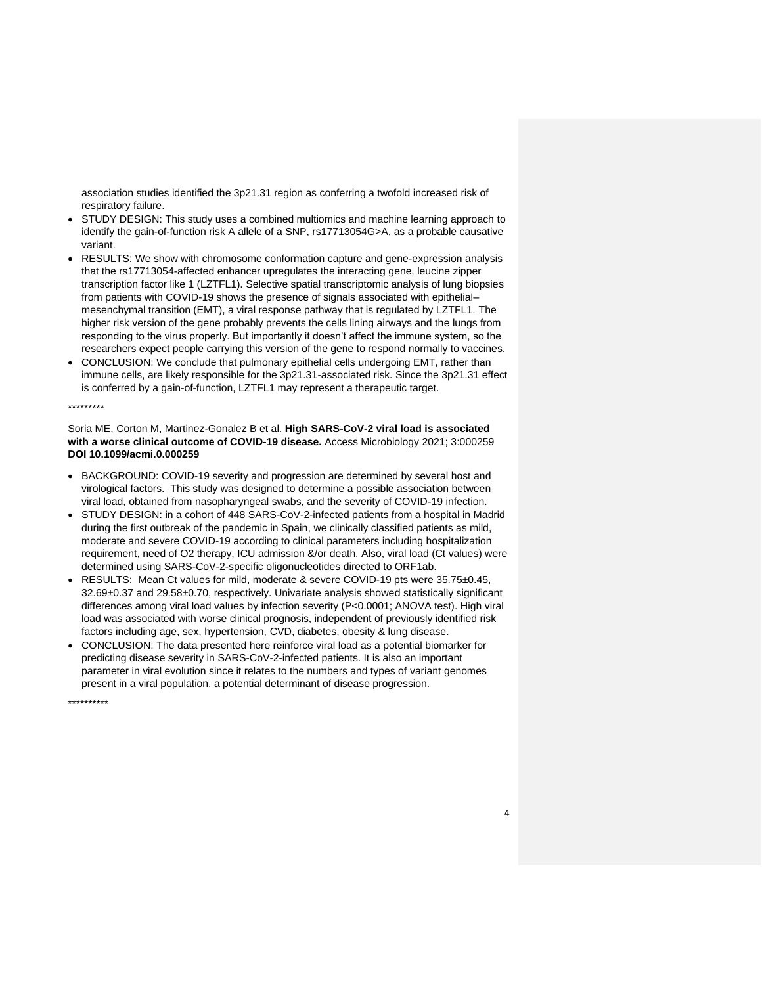association studies identified the 3p21.31 region as conferring a twofold increased risk of respiratory failure.

- STUDY DESIGN: This study uses a combined multiomics and machine learning approach to identify the gain-of-function risk A allele of a SNP, rs17713054G>A, as a probable causative variant.
- RESULTS: We show with chromosome conformation capture and gene-expression analysis that the rs17713054-affected enhancer upregulates the interacting gene, leucine zipper transcription factor like 1 (LZTFL1). Selective spatial transcriptomic analysis of lung biopsies from patients with COVID-19 shows the presence of signals associated with epithelial– mesenchymal transition (EMT), a viral response pathway that is regulated by LZTFL1. The higher risk version of the gene probably prevents the cells lining airways and the lungs from responding to the virus properly. But importantly it doesn't affect the immune system, so the researchers expect people carrying this version of the gene to respond normally to vaccines.
- CONCLUSION: We conclude that pulmonary epithelial cells undergoing EMT, rather than immune cells, are likely responsible for the 3p21.31-associated risk. Since the 3p21.31 effect is conferred by a gain-of-function, LZTFL1 may represent a therapeutic target.

### \*\*\*\*\*\*\*\*\*

Soria ME, Corton M, Martinez-Gonalez B et al. **High SARS-CoV-2 viral load is associated with a worse clinical outcome of COVID-19 disease.** Access Microbiology 2021; 3:000259 **DOI 10.1099/acmi.0.000259**

- BACKGROUND: COVID-19 severity and progression are determined by several host and virological factors. This study was designed to determine a possible association between viral load, obtained from nasopharyngeal swabs, and the severity of COVID-19 infection.
- STUDY DESIGN: in a cohort of 448 SARS-CoV-2-infected patients from a hospital in Madrid during the first outbreak of the pandemic in Spain, we clinically classified patients as mild, moderate and severe COVID-19 according to clinical parameters including hospitalization requirement, need of O2 therapy, ICU admission &/or death. Also, viral load (Ct values) were determined using SARS-CoV-2-specific oligonucleotides directed to ORF1ab.
- RESULTS: Mean Ct values for mild, moderate & severe COVID-19 pts were 35.75±0.45, 32.69±0.37 and 29.58±0.70, respectively. Univariate analysis showed statistically significant differences among viral load values by infection severity (P<0.0001; ANOVA test). High viral load was associated with worse clinical prognosis, independent of previously identified risk factors including age, sex, hypertension, CVD, diabetes, obesity & lung disease.
- CONCLUSION: The data presented here reinforce viral load as a potential biomarker for predicting disease severity in SARS-CoV-2-infected patients. It is also an important parameter in viral evolution since it relates to the numbers and types of variant genomes present in a viral population, a potential determinant of disease progression.

\*\*\*\*\*\*\*\*\*\*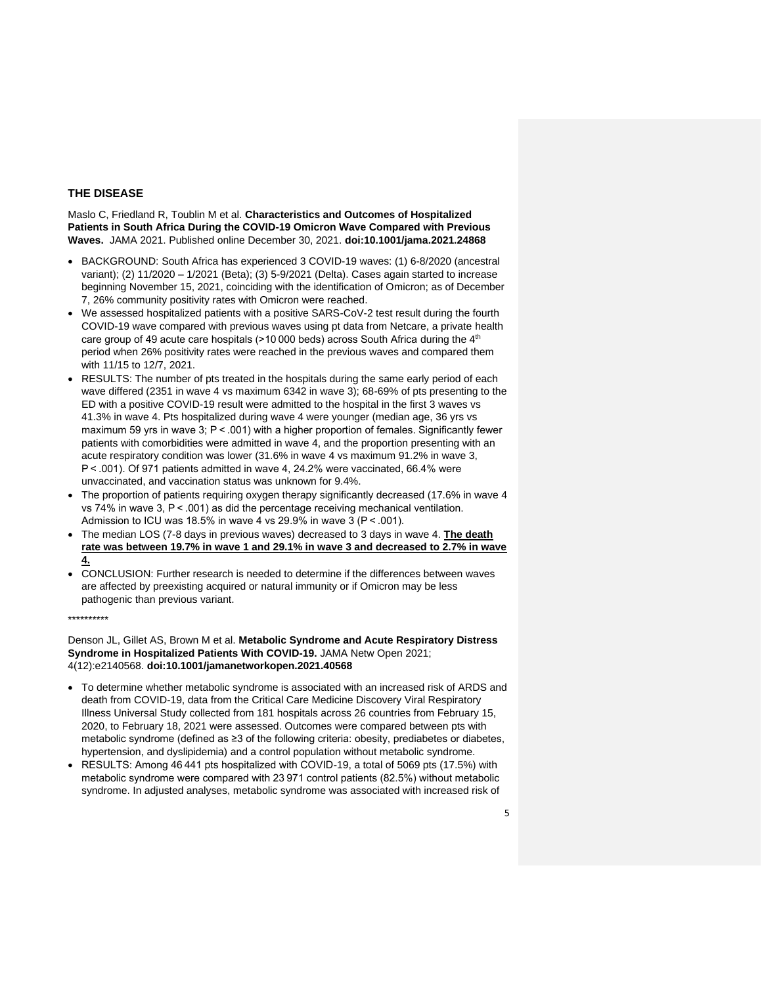## **THE DISEASE**

Maslo C, Friedland R, Toublin M et al. **Characteristics and Outcomes of Hospitalized Patients in South Africa During the COVID-19 Omicron Wave Compared with Previous Waves.** JAMA 2021. Published online December 30, 2021. **doi:10.1001/jama.2021.24868**

- BACKGROUND: South Africa has experienced 3 COVID-19 waves: (1) 6-8/2020 (ancestral variant); (2) 11/2020 – 1/2021 (Beta); (3) 5-9/2021 (Delta). Cases again started to increase beginning November 15, 2021, coinciding with the identification of Omicron; as of December 7, 26% community positivity rates with Omicron were reached.
- We assessed hospitalized patients with a positive SARS-CoV-2 test result during the fourth COVID-19 wave compared with previous waves using pt data from Netcare, a private health care group of 49 acute care hospitals (>10 000 beds) across South Africa during the 4<sup>th</sup> period when 26% positivity rates were reached in the previous waves and compared them with 11/15 to 12/7, 2021.
- RESULTS: The number of pts treated in the hospitals during the same early period of each wave differed (2351 in wave 4 vs maximum 6342 in wave 3); 68-69% of pts presenting to the ED with a positive COVID-19 result were admitted to the hospital in the first 3 waves vs 41.3% in wave 4. Pts hospitalized during wave 4 were younger (median age, 36 yrs vs maximum 59 yrs in wave 3; P < .001) with a higher proportion of females. Significantly fewer patients with comorbidities were admitted in wave 4, and the proportion presenting with an acute respiratory condition was lower (31.6% in wave 4 vs maximum 91.2% in wave 3, P < .001). Of 971 patients admitted in wave 4, 24.2% were vaccinated, 66.4% were unvaccinated, and vaccination status was unknown for 9.4%.
- The proportion of patients requiring oxygen therapy significantly decreased (17.6% in wave 4 vs 74% in wave 3, P < .001) as did the percentage receiving mechanical ventilation. Admission to ICU was 18.5% in wave 4 vs 29.9% in wave 3 (P < .001).
- The median LOS (7-8 days in previous waves) decreased to 3 days in wave 4. **The death rate was between 19.7% in wave 1 and 29.1% in wave 3 and decreased to 2.7% in wave 4.**
- CONCLUSION: Further research is needed to determine if the differences between waves are affected by preexisting acquired or natural immunity or if Omicron may be less pathogenic than previous variant.

\*\*\*\*\*\*\*\*\*\*

Denson JL, Gillet AS, Brown M et al. **Metabolic Syndrome and Acute Respiratory Distress Syndrome in Hospitalized Patients With COVID-19.** JAMA Netw Open 2021; 4(12):e2140568. **doi:10.1001/jamanetworkopen.2021.40568**

- To determine whether metabolic syndrome is associated with an increased risk of ARDS and death from COVID-19, data from the Critical Care Medicine Discovery Viral Respiratory Illness Universal Study collected from 181 hospitals across 26 countries from February 15, 2020, to February 18, 2021 were assessed. Outcomes were compared between pts with metabolic syndrome (defined as ≥3 of the following criteria: obesity, prediabetes or diabetes, hypertension, and dyslipidemia) and a control population without metabolic syndrome.
- RESULTS: Among 46 441 pts hospitalized with COVID-19, a total of 5069 pts (17.5%) with metabolic syndrome were compared with 23 971 control patients (82.5%) without metabolic syndrome. In adjusted analyses, metabolic syndrome was associated with increased risk of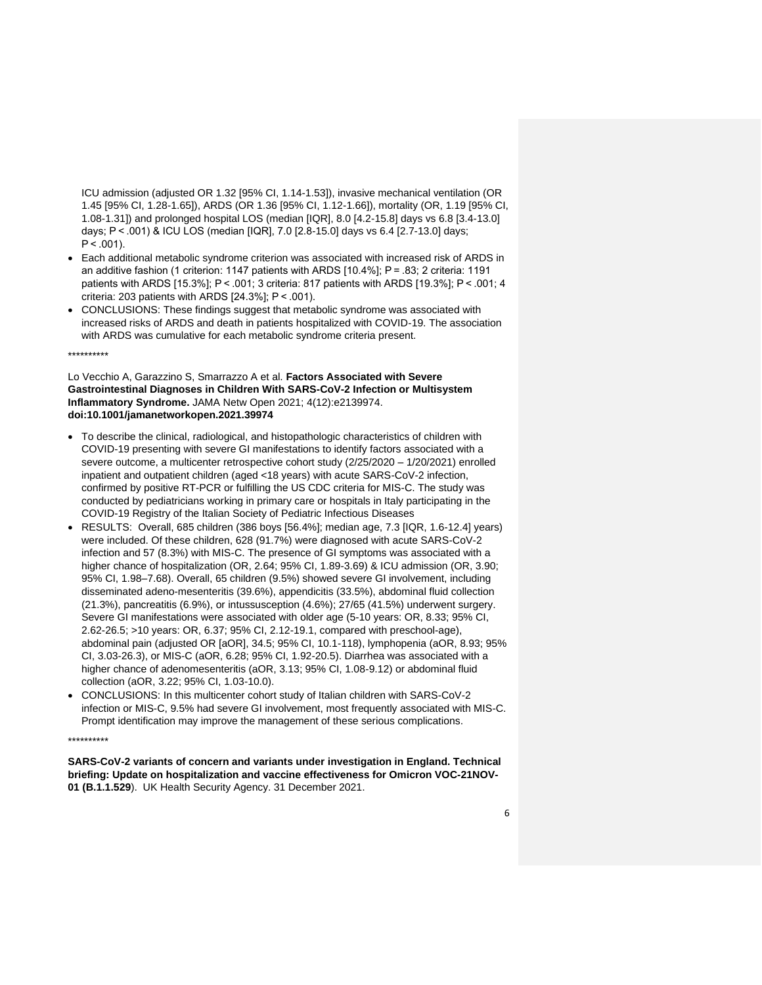ICU admission (adjusted OR 1.32 [95% CI, 1.14-1.53]), invasive mechanical ventilation (OR 1.45 [95% CI, 1.28-1.65]), ARDS (OR 1.36 [95% CI, 1.12-1.66]), mortality (OR, 1.19 [95% CI, 1.08-1.31]) and prolonged hospital LOS (median [IQR], 8.0 [4.2-15.8] days vs 6.8 [3.4-13.0] days; P < .001) & ICU LOS (median [IQR], 7.0 [2.8-15.0] days vs 6.4 [2.7-13.0] days;  $P < .001$ ).

- Each additional metabolic syndrome criterion was associated with increased risk of ARDS in an additive fashion (1 criterion: 1147 patients with ARDS [10.4%]; P = .83; 2 criteria: 1191 patients with ARDS [15.3%]; P < .001; 3 criteria: 817 patients with ARDS [19.3%]; P < .001; 4 criteria: 203 patients with ARDS [24.3%]; P < .001).
- CONCLUSIONS: These findings suggest that metabolic syndrome was associated with increased risks of ARDS and death in patients hospitalized with COVID-19. The association with ARDS was cumulative for each metabolic syndrome criteria present.

\*\*\*\*\*\*\*\*\*\*

Lo Vecchio A, Garazzino S, Smarrazzo A et al. **Factors Associated with Severe Gastrointestinal Diagnoses in Children With SARS-CoV-2 Infection or Multisystem Inflammatory Syndrome.** JAMA Netw Open 2021; 4(12):e2139974. **doi:10.1001/jamanetworkopen.2021.39974**

- To describe the clinical, radiological, and histopathologic characteristics of children with COVID-19 presenting with severe GI manifestations to identify factors associated with a severe outcome, a multicenter retrospective cohort study (2/25/2020 – 1/20/2021) enrolled inpatient and outpatient children (aged <18 years) with acute SARS-CoV-2 infection, confirmed by positive RT-PCR or fulfilling the US CDC criteria for MIS-C. The study was conducted by pediatricians working in primary care or hospitals in Italy participating in the COVID-19 Registry of the Italian Society of Pediatric Infectious Diseases
- RESULTS: Overall, 685 children (386 boys [56.4%]; median age, 7.3 [IQR, 1.6-12.4] years) were included. Of these children, 628 (91.7%) were diagnosed with acute SARS-CoV-2 infection and 57 (8.3%) with MIS-C. The presence of GI symptoms was associated with a higher chance of hospitalization (OR, 2.64; 95% CI, 1.89-3.69) & ICU admission (OR, 3.90; 95% CI, 1.98–7.68). Overall, 65 children (9.5%) showed severe GI involvement, including disseminated adeno-mesenteritis (39.6%), appendicitis (33.5%), abdominal fluid collection (21.3%), pancreatitis (6.9%), or intussusception (4.6%); 27/65 (41.5%) underwent surgery. Severe GI manifestations were associated with older age (5-10 years: OR, 8.33; 95% CI, 2.62-26.5; >10 years: OR, 6.37; 95% CI, 2.12-19.1, compared with preschool-age), abdominal pain (adjusted OR [aOR], 34.5; 95% CI, 10.1-118), lymphopenia (aOR, 8.93; 95% CI, 3.03-26.3), or MIS-C (aOR, 6.28; 95% CI, 1.92-20.5). Diarrhea was associated with a higher chance of adenomesenteritis (aOR, 3.13; 95% CI, 1.08-9.12) or abdominal fluid collection (aOR, 3.22; 95% CI, 1.03-10.0).
- CONCLUSIONS: In this multicenter cohort study of Italian children with SARS-CoV-2 infection or MIS-C, 9.5% had severe GI involvement, most frequently associated with MIS-C. Prompt identification may improve the management of these serious complications.

#### \*\*\*\*\*\*\*\*\*\*

**SARS-CoV-2 variants of concern and variants under investigation in England. Technical briefing: Update on hospitalization and vaccine effectiveness for Omicron VOC-21NOV-01 (B.1.1.529**). UK Health Security Agency. 31 December 2021.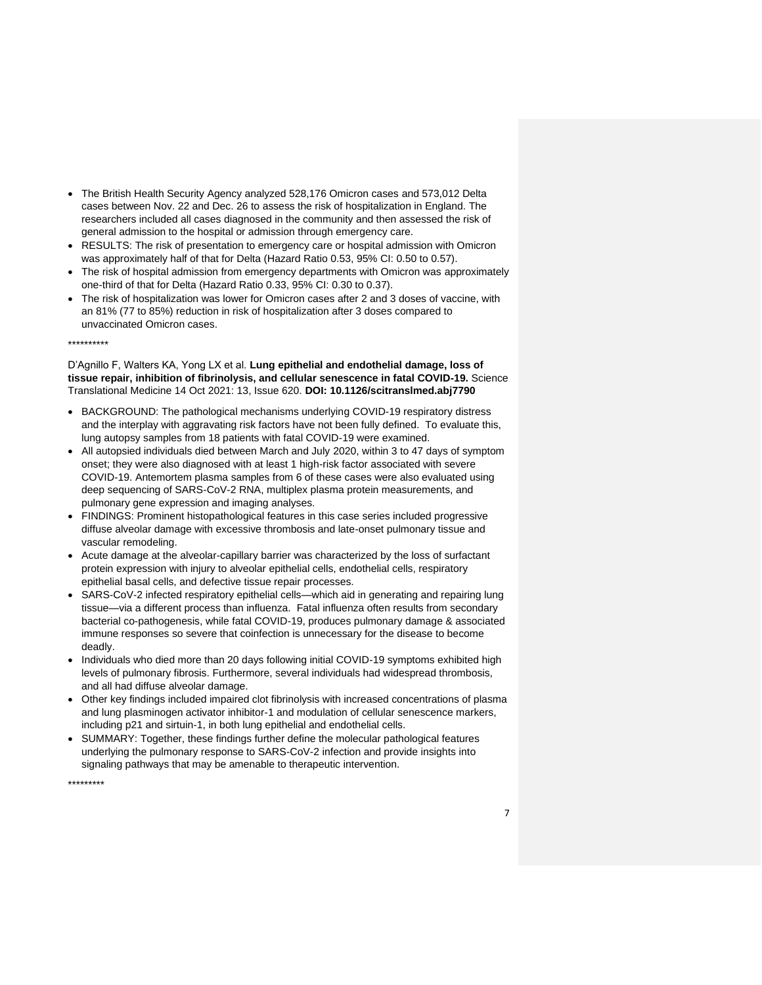- The British Health Security Agency analyzed 528,176 Omicron cases and 573,012 Delta cases between Nov. 22 and Dec. 26 to assess the risk of hospitalization in England. The researchers included all cases diagnosed in the community and then assessed the risk of general admission to the hospital or admission through emergency care.
- RESULTS: The risk of presentation to emergency care or hospital admission with Omicron was approximately half of that for Delta (Hazard Ratio 0.53, 95% CI: 0.50 to 0.57).
- The risk of hospital admission from emergency departments with Omicron was approximately one-third of that for Delta (Hazard Ratio 0.33, 95% CI: 0.30 to 0.37).
- The risk of hospitalization was lower for Omicron cases after 2 and 3 doses of vaccine, with an 81% (77 to 85%) reduction in risk of hospitalization after 3 doses compared to unvaccinated Omicron cases.

\*\*\*\*\*\*\*\*\*\*

D'Agnillo F, Walters KA, Yong LX et al. **Lung epithelial and endothelial damage, loss of tissue repair, inhibition of fibrinolysis, and cellular senescence in fatal COVID-19.** Science Translational Medicine 14 Oct 2021: 13, Issue 620. **DOI: 10.1126/scitranslmed.abj7790**

- BACKGROUND: The pathological mechanisms underlying COVID-19 respiratory distress and the interplay with aggravating risk factors have not been fully defined. To evaluate this, lung autopsy samples from 18 patients with fatal COVID-19 were examined.
- All autopsied individuals died between March and July 2020, within 3 to 47 days of symptom onset; they were also diagnosed with at least 1 high-risk factor associated with severe COVID-19. Antemortem plasma samples from 6 of these cases were also evaluated using deep sequencing of SARS-CoV-2 RNA, multiplex plasma protein measurements, and pulmonary gene expression and imaging analyses.
- FINDINGS: Prominent histopathological features in this case series included progressive diffuse alveolar damage with excessive thrombosis and late-onset pulmonary tissue and vascular remodeling.
- Acute damage at the alveolar-capillary barrier was characterized by the loss of surfactant protein expression with injury to alveolar epithelial cells, endothelial cells, respiratory epithelial basal cells, and defective tissue repair processes.
- SARS-CoV-2 infected respiratory epithelial cells—which aid in generating and repairing lung tissue—via a different process than influenza. Fatal influenza often results from secondary bacterial co-pathogenesis, while fatal COVID-19, produces pulmonary damage & associated immune responses so severe that coinfection is unnecessary for the disease to become deadly.
- Individuals who died more than 20 days following initial COVID-19 symptoms exhibited high levels of pulmonary fibrosis. Furthermore, several individuals had widespread thrombosis, and all had diffuse alveolar damage.
- Other key findings included impaired clot fibrinolysis with increased concentrations of plasma and lung plasminogen activator inhibitor-1 and modulation of cellular senescence markers, including p21 and sirtuin-1, in both lung epithelial and endothelial cells.
- SUMMARY: Together, these findings further define the molecular pathological features underlying the pulmonary response to SARS-CoV-2 infection and provide insights into signaling pathways that may be amenable to therapeutic intervention.

\*\*\*\*\*\*\*\*\*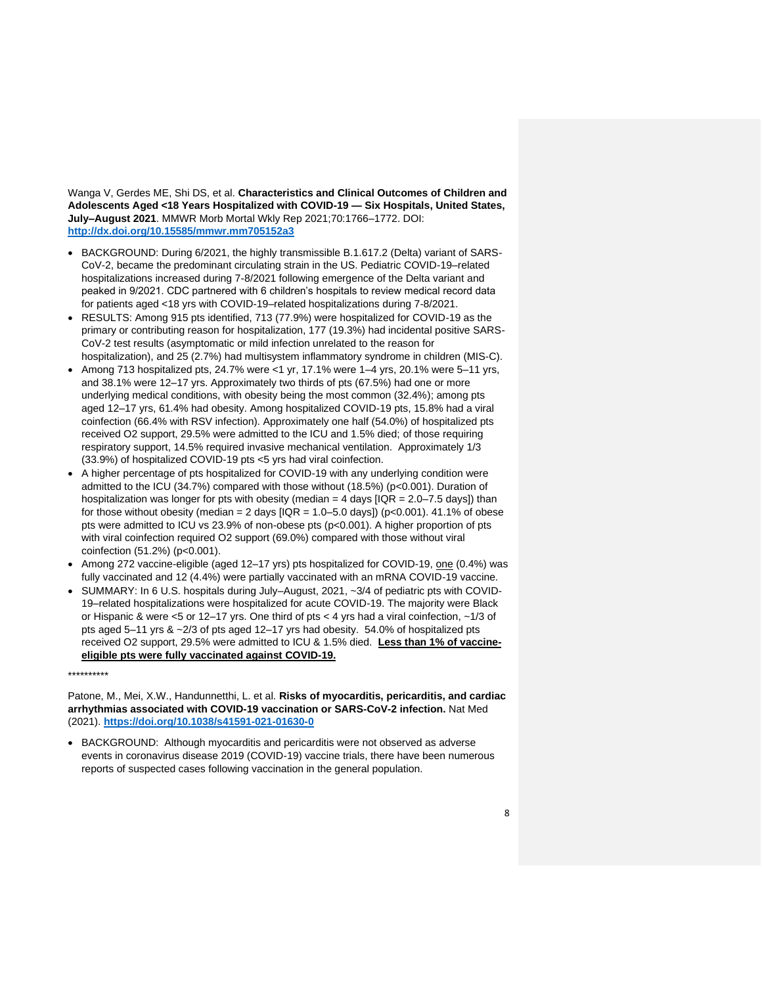Wanga V, Gerdes ME, Shi DS, et al. **Characteristics and Clinical Outcomes of Children and Adolescents Aged <18 Years Hospitalized with COVID-19 — Six Hospitals, United States, July–August 2021**. MMWR Morb Mortal Wkly Rep 2021;70:1766–1772. DOI: **<http://dx.doi.org/10.15585/mmwr.mm705152a3>**

- BACKGROUND: During 6/2021, the highly transmissible B.1.617.2 (Delta) variant of SARS-CoV-2, became the predominant circulating strain in the US. Pediatric COVID-19–related hospitalizations increased during 7-8/2021 following emergence of the Delta variant and peaked in 9/2021. CDC partnered with 6 children's hospitals to review medical record data for patients aged <18 yrs with COVID-19–related hospitalizations during 7-8/2021.
- RESULTS: Among 915 pts identified, 713 (77.9%) were hospitalized for COVID-19 as the primary or contributing reason for hospitalization, 177 (19.3%) had incidental positive SARS-CoV-2 test results (asymptomatic or mild infection unrelated to the reason for hospitalization), and 25 (2.7%) had multisystem inflammatory syndrome in children (MIS-C).
- Among 713 hospitalized pts, 24.7% were <1 yr, 17.1% were 1–4 yrs, 20.1% were 5–11 yrs, and 38.1% were 12–17 yrs. Approximately two thirds of pts (67.5%) had one or more underlying medical conditions, with obesity being the most common (32.4%); among pts aged 12–17 yrs, 61.4% had obesity. Among hospitalized COVID-19 pts, 15.8% had a viral coinfection (66.4% with RSV infection). Approximately one half (54.0%) of hospitalized pts received O2 support, 29.5% were admitted to the ICU and 1.5% died; of those requiring respiratory support, 14.5% required invasive mechanical ventilation. Approximately 1/3 (33.9%) of hospitalized COVID-19 pts <5 yrs had viral coinfection.
- A higher percentage of pts hospitalized for COVID-19 with any underlying condition were admitted to the ICU (34.7%) compared with those without (18.5%) (p<0.001). Duration of hospitalization was longer for pts with obesity (median =  $4$  days  $[IQR = 2.0 - 7.5$  days]) than for those without obesity (median = 2 days  $|IQR = 1.0 - 5.0$  days]) (p<0.001). 41.1% of obese pts were admitted to ICU vs 23.9% of non-obese pts (p<0.001). A higher proportion of pts with viral coinfection required O2 support (69.0%) compared with those without viral coinfection (51.2%) (p<0.001).
- Among 272 vaccine-eligible (aged 12–17 yrs) pts hospitalized for COVID-19, one (0.4%) was fully vaccinated and 12 (4.4%) were partially vaccinated with an mRNA COVID-19 vaccine.
- SUMMARY: In 6 U.S. hospitals during July–August, 2021, ~3/4 of pediatric pts with COVID-19–related hospitalizations were hospitalized for acute COVID-19. The majority were Black or Hispanic & were <5 or 12–17 yrs. One third of pts < 4 yrs had a viral coinfection, ~1/3 of pts aged 5–11 yrs & ~2/3 of pts aged 12–17 yrs had obesity. 54.0% of hospitalized pts received O2 support, 29.5% were admitted to ICU & 1.5% died. **Less than 1% of vaccineeligible pts were fully vaccinated against COVID-19.**

\*\*\*\*\*\*\*\*\*\*

Patone, M., Mei, X.W., Handunnetthi, L. et al. **Risks of myocarditis, pericarditis, and cardiac arrhythmias associated with COVID-19 vaccination or SARS-CoV-2 infection.** Nat Med (2021). **<https://doi.org/10.1038/s41591-021-01630-0>**

• BACKGROUND: Although myocarditis and pericarditis were not observed as adverse events in coronavirus disease 2019 (COVID-19) vaccine trials, there have been numerous reports of suspected cases following vaccination in the general population.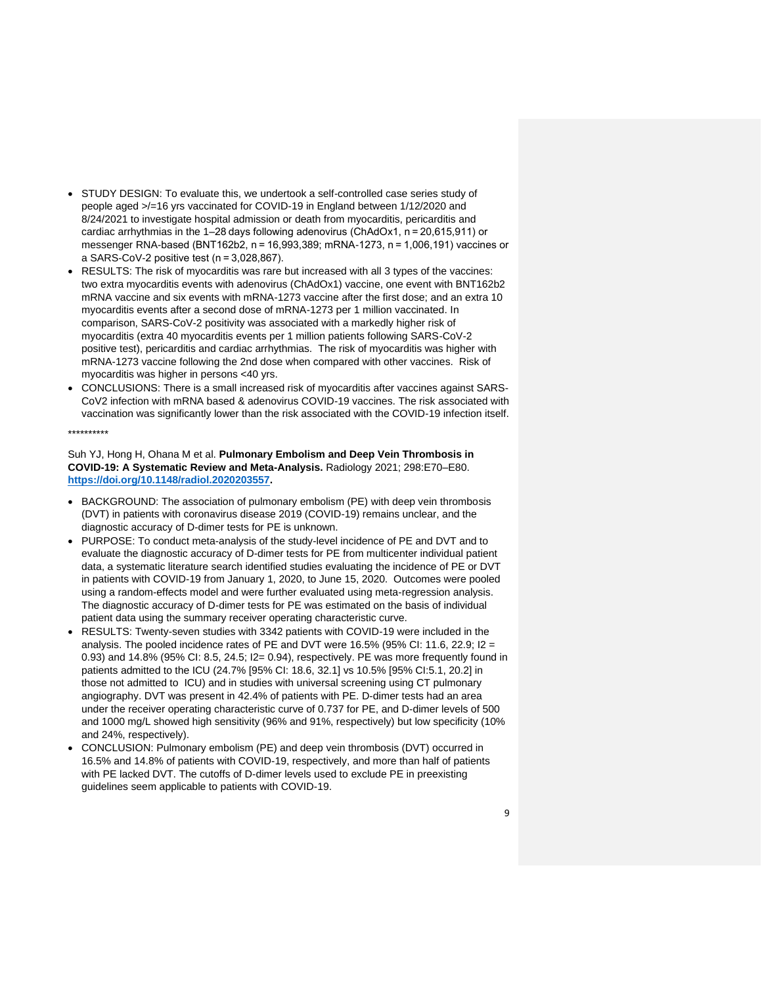- STUDY DESIGN: To evaluate this, we undertook a self-controlled case series study of people aged >/=16 yrs vaccinated for COVID-19 in England between 1/12/2020 and 8/24/2021 to investigate hospital admission or death from myocarditis, pericarditis and cardiac arrhythmias in the 1–28 days following adenovirus (ChAdOx1, n = 20,615,911) or messenger RNA-based (BNT162b2, n = 16,993,389; mRNA-1273, n = 1,006,191) vaccines or a SARS-CoV-2 positive test (n = 3,028,867).
- RESULTS: The risk of myocarditis was rare but increased with all 3 types of the vaccines: two extra myocarditis events with adenovirus (ChAdOx1) vaccine, one event with BNT162b2 mRNA vaccine and six events with mRNA-1273 vaccine after the first dose; and an extra 10 myocarditis events after a second dose of mRNA-1273 per 1 million vaccinated. In comparison, SARS-CoV-2 positivity was associated with a markedly higher risk of myocarditis (extra 40 myocarditis events per 1 million patients following SARS-CoV-2 positive test), pericarditis and cardiac arrhythmias. The risk of myocarditis was higher with mRNA-1273 vaccine following the 2nd dose when compared with other vaccines. Risk of myocarditis was higher in persons <40 yrs.
- CONCLUSIONS: There is a small increased risk of myocarditis after vaccines against SARS-CoV2 infection with mRNA based & adenovirus COVID-19 vaccines. The risk associated with vaccination was significantly lower than the risk associated with the COVID-19 infection itself.

#### \*\*\*\*\*\*\*\*\*\*

Suh YJ, Hong H, Ohana M et al. **Pulmonary Embolism and Deep Vein Thrombosis in COVID-19: A Systematic Review and Meta-Analysis.** Radiology 2021; 298:E70–E80. **[https://doi.org/10.1148/radiol.2020203557.](https://doi.org/10.1148/radiol.2020203557)**

- BACKGROUND: The association of pulmonary embolism (PE) with deep vein thrombosis (DVT) in patients with coronavirus disease 2019 (COVID-19) remains unclear, and the diagnostic accuracy of D-dimer tests for PE is unknown.
- PURPOSE: To conduct meta-analysis of the study-level incidence of PE and DVT and to evaluate the diagnostic accuracy of D-dimer tests for PE from multicenter individual patient data, a systematic literature search identified studies evaluating the incidence of PE or DVT in patients with COVID-19 from January 1, 2020, to June 15, 2020. Outcomes were pooled using a random-effects model and were further evaluated using meta-regression analysis. The diagnostic accuracy of D-dimer tests for PE was estimated on the basis of individual patient data using the summary receiver operating characteristic curve.
- RESULTS: Twenty-seven studies with 3342 patients with COVID-19 were included in the analysis. The pooled incidence rates of PE and DVT were  $16.5\%$  (95% CI: 11.6, 22.9; I2 = 0.93) and 14.8% (95% CI: 8.5, 24.5; I2= 0.94), respectively. PE was more frequently found in patients admitted to the ICU (24.7% [95% CI: 18.6, 32.1] vs 10.5% [95% CI:5.1, 20.2] in those not admitted to ICU) and in studies with universal screening using CT pulmonary angiography. DVT was present in 42.4% of patients with PE. D-dimer tests had an area under the receiver operating characteristic curve of 0.737 for PE, and D-dimer levels of 500 and 1000 mg/L showed high sensitivity (96% and 91%, respectively) but low specificity (10% and 24%, respectively).
- CONCLUSION: Pulmonary embolism (PE) and deep vein thrombosis (DVT) occurred in 16.5% and 14.8% of patients with COVID-19, respectively, and more than half of patients with PE lacked DVT. The cutoffs of D-dimer levels used to exclude PE in preexisting guidelines seem applicable to patients with COVID-19.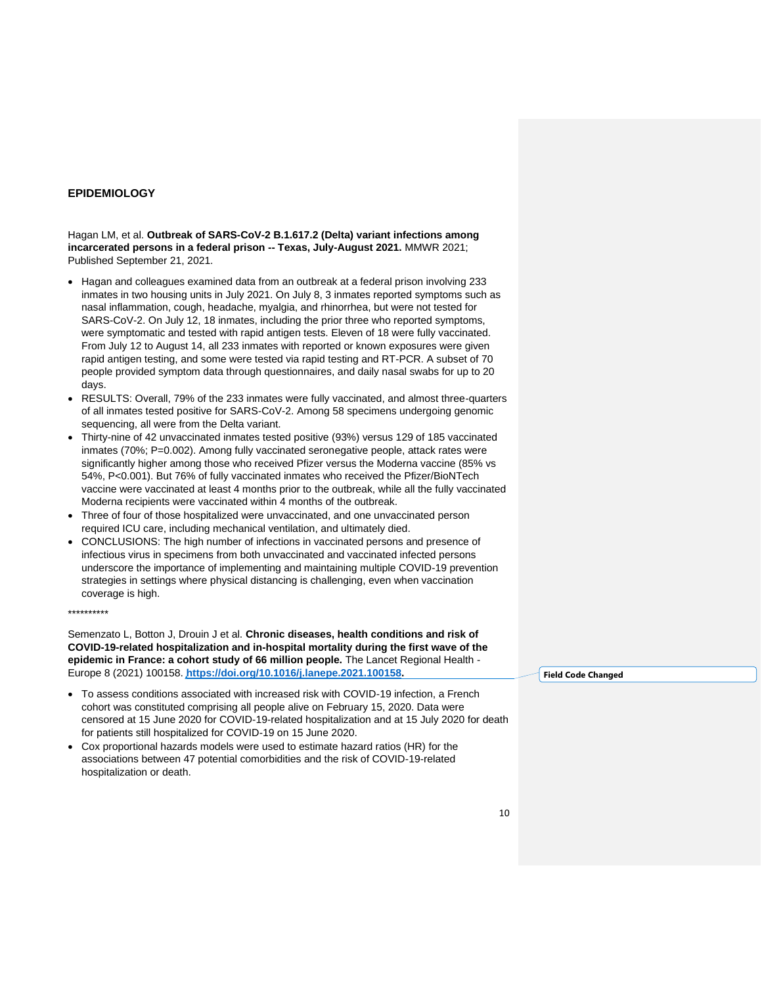# **EPIDEMIOLOGY**

Hagan LM, et al. **Outbreak of SARS-CoV-2 B.1.617.2 (Delta) variant infections among incarcerated persons in a federal prison -- Texas, July-August 2021.** MMWR 2021; Published September 21, 2021.

- Hagan and colleagues examined data from an outbreak at a federal prison involving 233 inmates in two housing units in July 2021. On July 8, 3 inmates reported symptoms such as nasal inflammation, cough, headache, myalgia, and rhinorrhea, but were not tested for SARS-CoV-2. On July 12, 18 inmates, including the prior three who reported symptoms, were symptomatic and tested with rapid antigen tests. Eleven of 18 were fully vaccinated. From July 12 to August 14, all 233 inmates with reported or known exposures were given rapid antigen testing, and some were tested via rapid testing and RT-PCR. A subset of 70 people provided symptom data through questionnaires, and daily nasal swabs for up to 20 days.
- RESULTS: Overall, 79% of the 233 inmates were fully vaccinated, and almost three-quarters of all inmates tested positive for SARS-CoV-2. Among 58 specimens undergoing genomic sequencing, all were from the Delta variant.
- Thirty-nine of 42 unvaccinated inmates tested positive (93%) versus 129 of 185 vaccinated inmates (70%; P=0.002). Among fully vaccinated seronegative people, attack rates were significantly higher among those who received Pfizer versus the Moderna vaccine (85% vs 54%, P<0.001). But 76% of fully vaccinated inmates who received the Pfizer/BioNTech vaccine were vaccinated at least 4 months prior to the outbreak, while all the fully vaccinated Moderna recipients were vaccinated within 4 months of the outbreak.
- Three of four of those hospitalized were unvaccinated, and one unvaccinated person required ICU care, including mechanical ventilation, and ultimately died.
- CONCLUSIONS: The high number of infections in vaccinated persons and presence of infectious virus in specimens from both unvaccinated and vaccinated infected persons underscore the importance of implementing and maintaining multiple COVID-19 prevention strategies in settings where physical distancing is challenging, even when vaccination coverage is high.

\*\*\*\*\*\*\*\*\*\*

Semenzato L, Botton J, Drouin J et al. **Chronic diseases, health conditions and risk of COVID-19-related hospitalization and in-hospital mortality during the first wave of the epidemic in France: a cohort study of 66 million people.** The Lancet Regional Health - Europe 8 (2021) 100158. **[https://doi.org/10.1016/j.lanepe.2021.100158.](https://doi.org/10.1016/j.lanepe.2021.100158)**

- To assess conditions associated with increased risk with COVID-19 infection, a French cohort was constituted comprising all people alive on February 15, 2020. Data were censored at 15 June 2020 for COVID-19-related hospitalization and at 15 July 2020 for death for patients still hospitalized for COVID-19 on 15 June 2020.
- Cox proportional hazards models were used to estimate hazard ratios (HR) for the associations between 47 potential comorbidities and the risk of COVID-19-related hospitalization or death.

**Field Code Changed**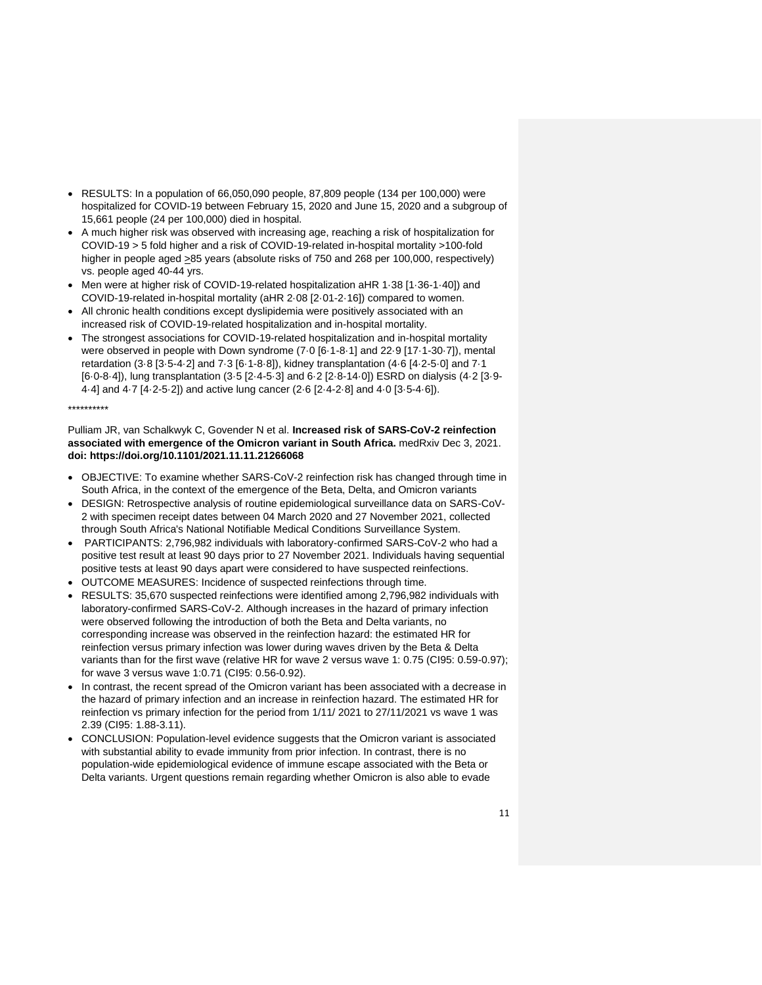- RESULTS: In a population of 66,050,090 people, 87,809 people (134 per 100,000) were hospitalized for COVID-19 between February 15, 2020 and June 15, 2020 and a subgroup of 15,661 people (24 per 100,000) died in hospital.
- A much higher risk was observed with increasing age, reaching a risk of hospitalization for COVID-19 > 5 fold higher and a risk of COVID-19-related in-hospital mortality >100-fold higher in people aged >85 years (absolute risks of 750 and 268 per 100,000, respectively) vs. people aged 40-44 yrs.
- Men were at higher risk of COVID-19-related hospitalization aHR 1·38 [1·36-1·40]) and COVID-19-related in-hospital mortality (aHR 2·08 [2·01-2·16]) compared to women.
- All chronic health conditions except dyslipidemia were positively associated with an increased risk of COVID-19-related hospitalization and in-hospital mortality.
- The strongest associations for COVID-19-related hospitalization and in-hospital mortality were observed in people with Down syndrome (7·0 [6·1-8·1] and 22·9 [17·1-30·7]), mental retardation (3·8 [3·5-4·2] and 7·3 [6·1-8·8]), kidney transplantation (4·6 [4·2-5·0] and 7·1 [6·0-8·4]), lung transplantation (3·5 [2·4-5·3] and 6·2 [2·8-14·0]) ESRD on dialysis (4·2 [3·9- 4·4] and 4·7 [4·2-5·2]) and active lung cancer (2·6 [2·4-2·8] and 4·0 [3·5-4·6]).

# \*\*\*\*\*\*\*\*\*\*

Pulliam JR, van Schalkwyk C, Govender N et al. **Increased risk of SARS-CoV-2 reinfection associated with emergence of the Omicron variant in South Africa.** medRxiv Dec 3, 2021. **doi: https://doi.org/10.1101/2021.11.11.21266068**

- OBJECTIVE: To examine whether SARS-CoV-2 reinfection risk has changed through time in South Africa, in the context of the emergence of the Beta, Delta, and Omicron variants
- DESIGN: Retrospective analysis of routine epidemiological surveillance data on SARS-CoV-2 with specimen receipt dates between 04 March 2020 and 27 November 2021, collected through South Africa's National Notifiable Medical Conditions Surveillance System.
- PARTICIPANTS: 2,796,982 individuals with laboratory-confirmed SARS-CoV-2 who had a positive test result at least 90 days prior to 27 November 2021. Individuals having sequential positive tests at least 90 days apart were considered to have suspected reinfections.
- OUTCOME MEASURES: Incidence of suspected reinfections through time.
- RESULTS: 35,670 suspected reinfections were identified among 2,796,982 individuals with laboratory-confirmed SARS-CoV-2. Although increases in the hazard of primary infection were observed following the introduction of both the Beta and Delta variants, no corresponding increase was observed in the reinfection hazard: the estimated HR for reinfection versus primary infection was lower during waves driven by the Beta & Delta variants than for the first wave (relative HR for wave 2 versus wave 1: 0.75 (CI95: 0.59-0.97); for wave 3 versus wave 1:0.71 (CI95: 0.56-0.92).
- In contrast, the recent spread of the Omicron variant has been associated with a decrease in the hazard of primary infection and an increase in reinfection hazard. The estimated HR for reinfection vs primary infection for the period from 1/11/ 2021 to 27/11/2021 vs wave 1 was 2.39 (CI95: 1.88-3.11).
- CONCLUSION: Population-level evidence suggests that the Omicron variant is associated with substantial ability to evade immunity from prior infection. In contrast, there is no population-wide epidemiological evidence of immune escape associated with the Beta or Delta variants. Urgent questions remain regarding whether Omicron is also able to evade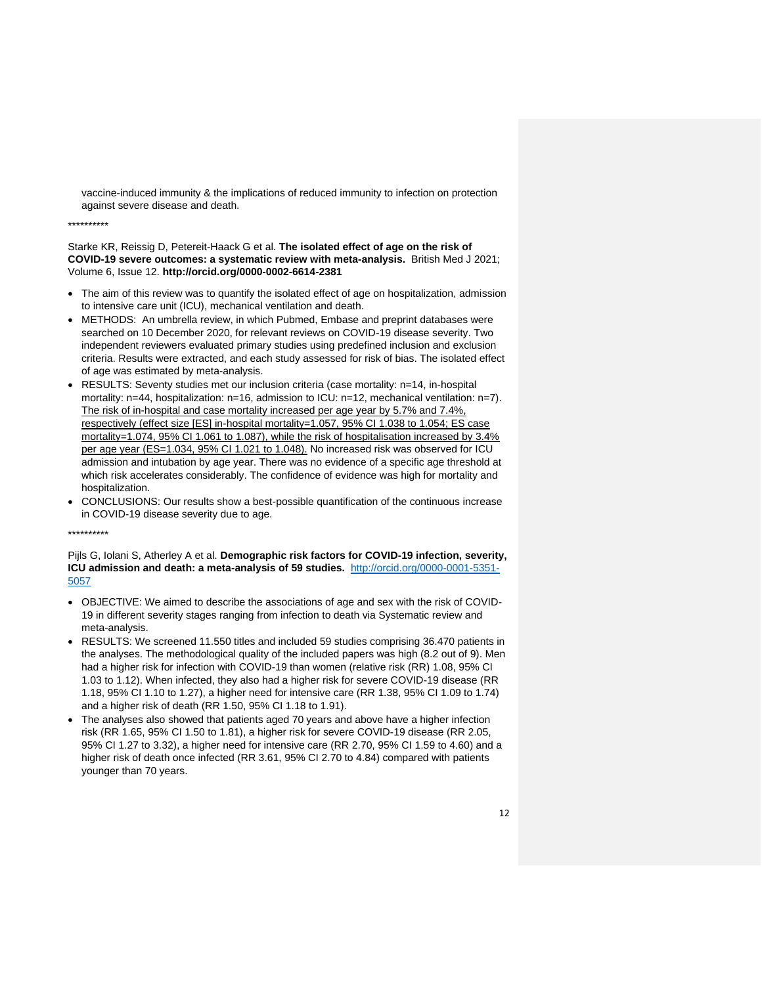vaccine-induced immunity & the implications of reduced immunity to infection on protection against severe disease and death.

\*\*\*\*\*\*\*\*\*\*

Starke KR, Reissig D, Petereit-Haack G et al. **The isolated effect of age on the risk of COVID-19 severe outcomes: a systematic review with meta-analysis.** British Med J 2021; Volume 6, Issue 12. **http://orcid.org/0000-0002-6614-2381**

- The aim of this review was to quantify the isolated effect of age on hospitalization, admission to intensive care unit (ICU), mechanical ventilation and death.
- METHODS: An umbrella review, in which Pubmed, Embase and preprint databases were searched on 10 December 2020, for relevant reviews on COVID-19 disease severity. Two independent reviewers evaluated primary studies using predefined inclusion and exclusion criteria. Results were extracted, and each study assessed for risk of bias. The isolated effect of age was estimated by meta-analysis.
- RESULTS: Seventy studies met our inclusion criteria (case mortality: n=14, in-hospital mortality: n=44, hospitalization: n=16, admission to ICU: n=12, mechanical ventilation: n=7). The risk of in-hospital and case mortality increased per age year by 5.7% and 7.4%, respectively (effect size [ES] in-hospital mortality=1.057, 95% CI 1.038 to 1.054; ES case mortality=1.074, 95% CI 1.061 to 1.087), while the risk of hospitalisation increased by 3.4% per age year (ES=1.034, 95% CI 1.021 to 1.048). No increased risk was observed for ICU admission and intubation by age year. There was no evidence of a specific age threshold at which risk accelerates considerably. The confidence of evidence was high for mortality and hospitalization.
- CONCLUSIONS: Our results show a best-possible quantification of the continuous increase in COVID-19 disease severity due to age.

\*\*\*\*\*\*\*\*\*\*

Pijls G, Iolani S, Atherley A et al. **Demographic risk factors for COVID-19 infection, severity, ICU admission and death: a meta-analysis of 59 studies.** [http://orcid.org/0000-0001-5351-](http://orcid.org/0000-0001-5351-5057) [5057](http://orcid.org/0000-0001-5351-5057)

- OBJECTIVE: We aimed to describe the associations of age and sex with the risk of COVID-19 in different severity stages ranging from infection to death via Systematic review and meta-analysis.
- RESULTS: We screened 11.550 titles and included 59 studies comprising 36.470 patients in the analyses. The methodological quality of the included papers was high (8.2 out of 9). Men had a higher risk for infection with COVID-19 than women (relative risk (RR) 1.08, 95% CI 1.03 to 1.12). When infected, they also had a higher risk for severe COVID-19 disease (RR 1.18, 95% CI 1.10 to 1.27), a higher need for intensive care (RR 1.38, 95% CI 1.09 to 1.74) and a higher risk of death (RR 1.50, 95% CI 1.18 to 1.91).
- The analyses also showed that patients aged 70 years and above have a higher infection risk (RR 1.65, 95% CI 1.50 to 1.81), a higher risk for severe COVID-19 disease (RR 2.05, 95% CI 1.27 to 3.32), a higher need for intensive care (RR 2.70, 95% CI 1.59 to 4.60) and a higher risk of death once infected (RR 3.61, 95% CI 2.70 to 4.84) compared with patients younger than 70 years.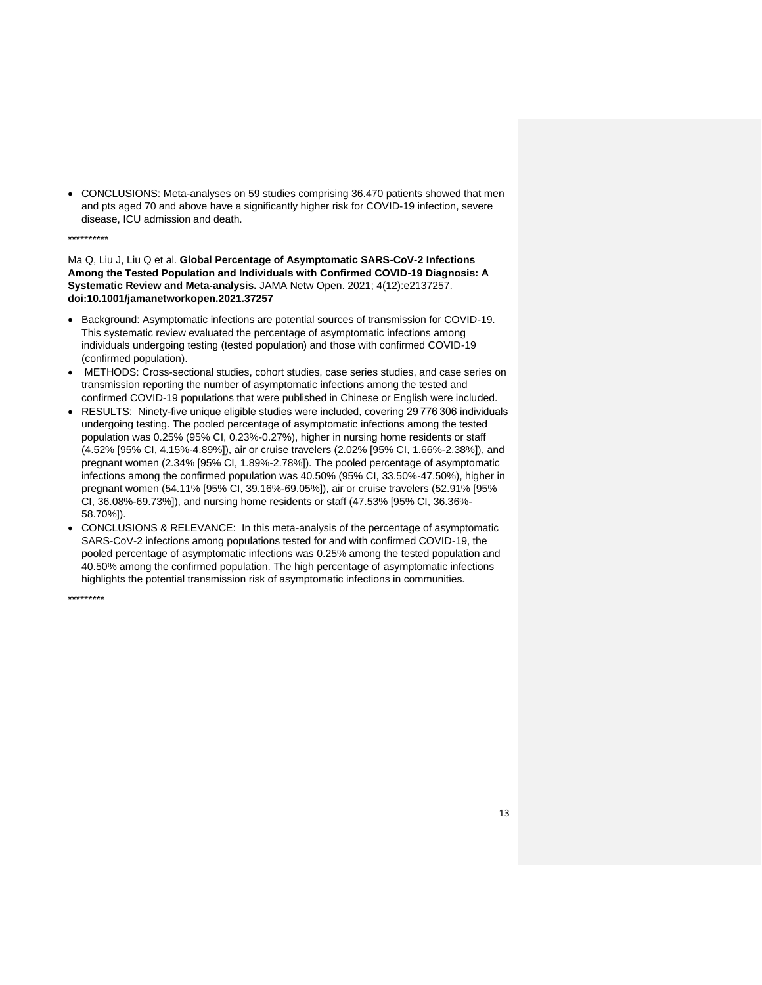• CONCLUSIONS: Meta-analyses on 59 studies comprising 36.470 patients showed that men and pts aged 70 and above have a significantly higher risk for COVID-19 infection, severe disease, ICU admission and death.

# \*\*\*\*\*\*\*\*\*\*

Ma Q, Liu J, Liu Q et al. **Global Percentage of Asymptomatic SARS-CoV-2 Infections Among the Tested Population and Individuals with Confirmed COVID-19 Diagnosis: A Systematic Review and Meta-analysis.** JAMA Netw Open. 2021; 4(12):e2137257. **doi:10.1001/jamanetworkopen.2021.37257**

- Background: Asymptomatic infections are potential sources of transmission for COVID-19. This systematic review evaluated the percentage of asymptomatic infections among individuals undergoing testing (tested population) and those with confirmed COVID-19 (confirmed population).
- METHODS: Cross-sectional studies, cohort studies, case series studies, and case series on transmission reporting the number of asymptomatic infections among the tested and confirmed COVID-19 populations that were published in Chinese or English were included.
- RESULTS: Ninety-five unique eligible studies were included, covering 29 776 306 individuals undergoing testing. The pooled percentage of asymptomatic infections among the tested population was 0.25% (95% CI, 0.23%-0.27%), higher in nursing home residents or staff (4.52% [95% CI, 4.15%-4.89%]), air or cruise travelers (2.02% [95% CI, 1.66%-2.38%]), and pregnant women (2.34% [95% CI, 1.89%-2.78%]). The pooled percentage of asymptomatic infections among the confirmed population was 40.50% (95% CI, 33.50%-47.50%), higher in pregnant women (54.11% [95% CI, 39.16%-69.05%]), air or cruise travelers (52.91% [95% CI, 36.08%-69.73%]), and nursing home residents or staff (47.53% [95% CI, 36.36%- 58.70%]).
- CONCLUSIONS & RELEVANCE: In this meta-analysis of the percentage of asymptomatic SARS-CoV-2 infections among populations tested for and with confirmed COVID-19, the pooled percentage of asymptomatic infections was 0.25% among the tested population and 40.50% among the confirmed population. The high percentage of asymptomatic infections highlights the potential transmission risk of asymptomatic infections in communities.

\*\*\*\*\*\*\*\*\*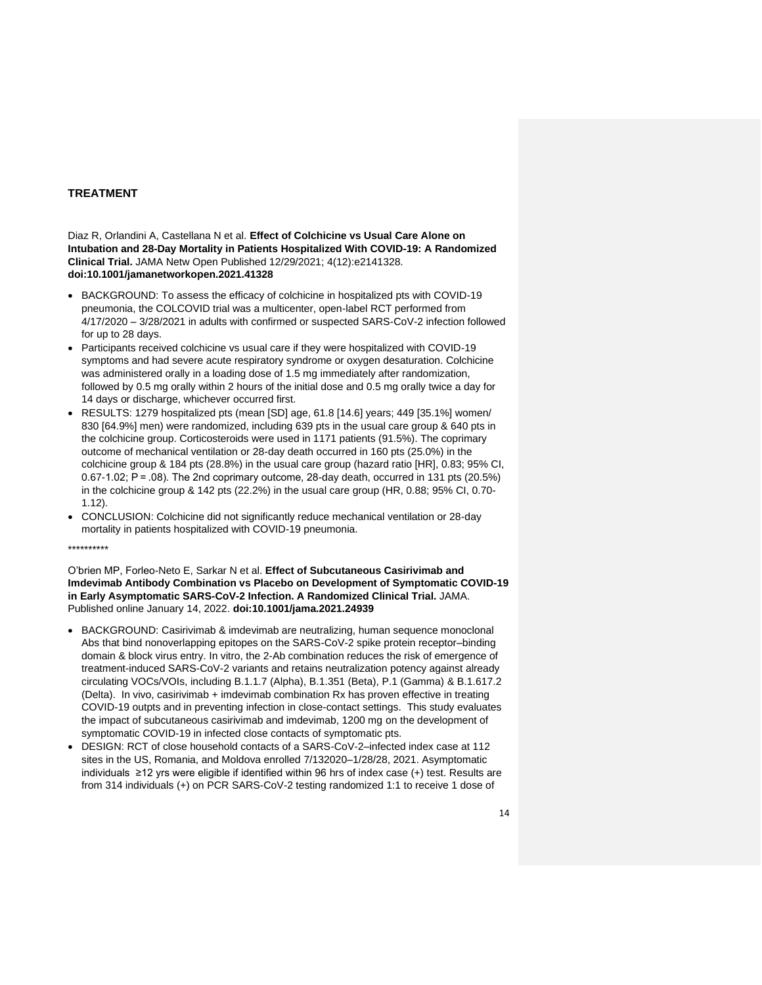# **TREATMENT**

Diaz R, Orlandini A, Castellana N et al. **Effect of Colchicine vs Usual Care Alone on Intubation and 28-Day Mortality in Patients Hospitalized With COVID-19: A Randomized Clinical Trial.** JAMA Netw Open Published 12/29/2021; 4(12):e2141328. **doi:10.1001/jamanetworkopen.2021.41328**

- BACKGROUND: To assess the efficacy of colchicine in hospitalized pts with COVID-19 pneumonia, the COLCOVID trial was a multicenter, open-label RCT performed from 4/17/2020 – 3/28/2021 in adults with confirmed or suspected SARS-CoV-2 infection followed for up to 28 days.
- Participants received colchicine vs usual care if they were hospitalized with COVID-19 symptoms and had severe acute respiratory syndrome or oxygen desaturation. Colchicine was administered orally in a loading dose of 1.5 mg immediately after randomization, followed by 0.5 mg orally within 2 hours of the initial dose and 0.5 mg orally twice a day for 14 days or discharge, whichever occurred first.
- RESULTS: 1279 hospitalized pts (mean [SD] age, 61.8 [14.6] years; 449 [35.1%] women/ 830 [64.9%] men) were randomized, including 639 pts in the usual care group & 640 pts in the colchicine group. Corticosteroids were used in 1171 patients (91.5%). The coprimary outcome of mechanical ventilation or 28-day death occurred in 160 pts (25.0%) in the colchicine group & 184 pts (28.8%) in the usual care group (hazard ratio [HR], 0.83; 95% CI, 0.67-1.02; P = .08). The 2nd coprimary outcome, 28-day death, occurred in 131 pts (20.5%) in the colchicine group & 142 pts (22.2%) in the usual care group (HR, 0.88; 95% CI, 0.70- 1.12).
- CONCLUSION: Colchicine did not significantly reduce mechanical ventilation or 28-day mortality in patients hospitalized with COVID-19 pneumonia.

#### \*\*\*\*\*\*\*\*\*\*

O'brien MP, Forleo-Neto E, Sarkar N et al. **Effect of Subcutaneous Casirivimab and Imdevimab Antibody Combination vs Placebo on Development of Symptomatic COVID-19 in Early Asymptomatic SARS-CoV-2 Infection. A Randomized Clinical Trial.** JAMA. Published online January 14, 2022. **doi:10.1001/jama.2021.24939**

- BACKGROUND: Casirivimab & imdevimab are neutralizing, human sequence monoclonal Abs that bind nonoverlapping epitopes on the SARS-CoV-2 spike protein receptor–binding domain & block virus entry. In vitro, the 2-Ab combination reduces the risk of emergence of treatment-induced SARS-CoV-2 variants and retains neutralization potency against already circulating VOCs/VOIs, including B.1.1.7 (Alpha), B.1.351 (Beta), P.1 (Gamma) & B.1.617.2 (Delta). In vivo, casirivimab + imdevimab combination Rx has proven effective in treating COVID-19 outpts and in preventing infection in close-contact settings. This study evaluates the impact of subcutaneous casirivimab and imdevimab, 1200 mg on the development of symptomatic COVID-19 in infected close contacts of symptomatic pts.
- DESIGN: RCT of close household contacts of a SARS-CoV-2–infected index case at 112 sites in the US, Romania, and Moldova enrolled 7/132020–1/28/28, 2021. Asymptomatic individuals ≥12 yrs were eligible if identified within 96 hrs of index case (+) test. Results are from 314 individuals (+) on PCR SARS-CoV-2 testing randomized 1:1 to receive 1 dose of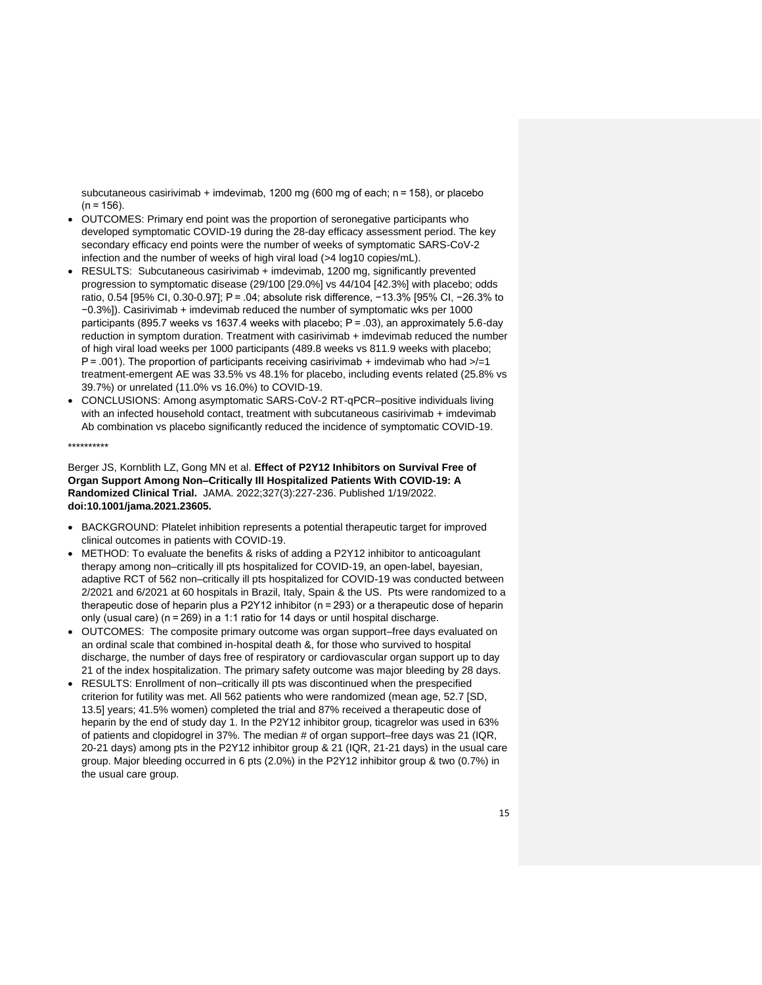subcutaneous casirivimab + imdevimab, 1200 mg (600 mg of each; n = 158), or placebo  $(n = 156)$ .

- OUTCOMES: Primary end point was the proportion of seronegative participants who developed symptomatic COVID-19 during the 28-day efficacy assessment period. The key secondary efficacy end points were the number of weeks of symptomatic SARS-CoV-2 infection and the number of weeks of high viral load (>4 log10 copies/mL).
- RESULTS: Subcutaneous casirivimab + imdevimab, 1200 mg, significantly prevented progression to symptomatic disease (29/100 [29.0%] vs 44/104 [42.3%] with placebo; odds ratio, 0.54 [95% CI, 0.30-0.97]; P = .04; absolute risk difference, −13.3% [95% CI, −26.3% to −0.3%]). Casirivimab + imdevimab reduced the number of symptomatic wks per 1000 participants (895.7 weeks vs 1637.4 weeks with placebo; P = .03), an approximately 5.6-day reduction in symptom duration. Treatment with casirivimab + imdevimab reduced the number of high viral load weeks per 1000 participants (489.8 weeks vs 811.9 weeks with placebo;  $P = .001$ ). The proportion of participants receiving casirivimab + imdevimab who had  $\geq/=1$ treatment-emergent AE was 33.5% vs 48.1% for placebo, including events related (25.8% vs 39.7%) or unrelated (11.0% vs 16.0%) to COVID-19.
- CONCLUSIONS: Among asymptomatic SARS-CoV-2 RT-qPCR–positive individuals living with an infected household contact, treatment with subcutaneous casirivimab + imdevimab Ab combination vs placebo significantly reduced the incidence of symptomatic COVID-19.

\*\*\*\*\*\*\*\*\*\*

Berger JS, Kornblith LZ, Gong MN et al. **Effect of P2Y12 Inhibitors on Survival Free of Organ Support Among Non–Critically Ill Hospitalized Patients With COVID-19: A Randomized Clinical Trial.** JAMA. 2022;327(3):227-236. Published 1/19/2022. **doi:10.1001/jama.2021.23605.**

- BACKGROUND: Platelet inhibition represents a potential therapeutic target for improved clinical outcomes in patients with COVID-19.
- METHOD: To evaluate the benefits & risks of adding a P2Y12 inhibitor to anticoagulant therapy among non–critically ill pts hospitalized for COVID-19, an open-label, bayesian, adaptive RCT of 562 non–critically ill pts hospitalized for COVID-19 was conducted between 2/2021 and 6/2021 at 60 hospitals in Brazil, Italy, Spain & the US. Pts were randomized to a therapeutic dose of heparin plus a P2Y12 inhibitor (n = 293) or a therapeutic dose of heparin only (usual care) (n = 269) in a 1:1 ratio for 14 days or until hospital discharge.
- OUTCOMES: The composite primary outcome was organ support–free days evaluated on an ordinal scale that combined in-hospital death &, for those who survived to hospital discharge, the number of days free of respiratory or cardiovascular organ support up to day 21 of the index hospitalization. The primary safety outcome was major bleeding by 28 days.
- RESULTS: Enrollment of non–critically ill pts was discontinued when the prespecified criterion for futility was met. All 562 patients who were randomized (mean age, 52.7 [SD, 13.5] years; 41.5% women) completed the trial and 87% received a therapeutic dose of heparin by the end of study day 1. In the P2Y12 inhibitor group, ticagrelor was used in 63% of patients and clopidogrel in 37%. The median # of organ support–free days was 21 (IQR, 20-21 days) among pts in the P2Y12 inhibitor group & 21 (IQR, 21-21 days) in the usual care group. Major bleeding occurred in 6 pts (2.0%) in the P2Y12 inhibitor group & two (0.7%) in the usual care group.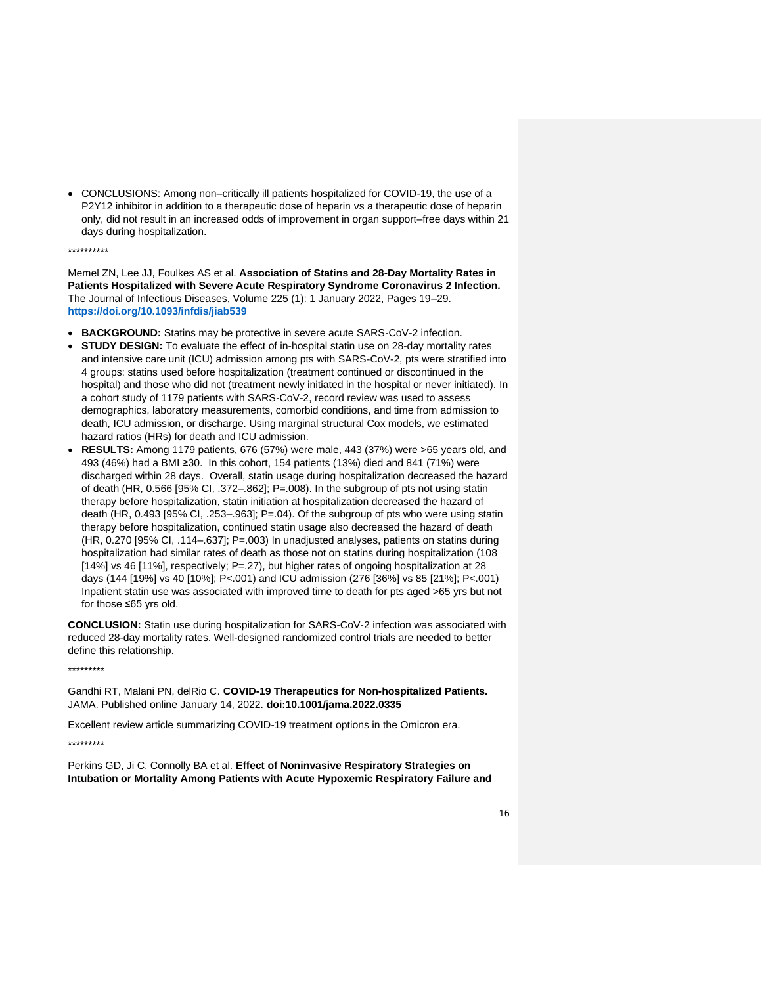• CONCLUSIONS: Among non–critically ill patients hospitalized for COVID-19, the use of a P2Y12 inhibitor in addition to a therapeutic dose of heparin vs a therapeutic dose of heparin only, did not result in an increased odds of improvement in organ support–free days within 21 days during hospitalization.

\*\*\*\*\*\*\*\*\*\*

Memel ZN, Lee JJ, Foulkes AS et al. **Association of Statins and 28-Day Mortality Rates in Patients Hospitalized with Severe Acute Respiratory Syndrome Coronavirus 2 Infection.** The Journal of Infectious Diseases, Volume 225 (1): 1 January 2022, Pages 19–29. **<https://doi.org/10.1093/infdis/jiab539>**

- **BACKGROUND:** Statins may be protective in severe acute SARS-CoV-2 infection.
- **STUDY DESIGN:** To evaluate the effect of in-hospital statin use on 28-day mortality rates and intensive care unit (ICU) admission among pts with SARS-CoV-2, pts were stratified into 4 groups: statins used before hospitalization (treatment continued or discontinued in the hospital) and those who did not (treatment newly initiated in the hospital or never initiated). In a cohort study of 1179 patients with SARS-CoV-2, record review was used to assess demographics, laboratory measurements, comorbid conditions, and time from admission to death, ICU admission, or discharge. Using marginal structural Cox models, we estimated hazard ratios (HRs) for death and ICU admission.
- **RESULTS:** Among 1179 patients, 676 (57%) were male, 443 (37%) were >65 years old, and 493 (46%) had a BMI ≥30. In this cohort, 154 patients (13%) died and 841 (71%) were discharged within 28 days. Overall, statin usage during hospitalization decreased the hazard of death (HR, 0.566 [95% CI, .372–.862]; P=.008). In the subgroup of pts not using statin therapy before hospitalization, statin initiation at hospitalization decreased the hazard of death (HR, 0.493 [95% CI, .253–.963]; P=.04). Of the subgroup of pts who were using statin therapy before hospitalization, continued statin usage also decreased the hazard of death (HR, 0.270 [95% CI, .114–.637]; P=.003) In unadjusted analyses, patients on statins during hospitalization had similar rates of death as those not on statins during hospitalization (108 [14%] vs 46 [11%], respectively; P=.27), but higher rates of ongoing hospitalization at 28 days (144 [19%] vs 40 [10%]; P<.001) and ICU admission (276 [36%] vs 85 [21%]; P<.001) Inpatient statin use was associated with improved time to death for pts aged >65 yrs but not for those ≤65 yrs old.

**CONCLUSION:** Statin use during hospitalization for SARS-CoV-2 infection was associated with reduced 28-day mortality rates. Well-designed randomized control trials are needed to better define this relationship.

\*\*\*\*\*\*\*\*\*

Gandhi RT, Malani PN, delRio C. **COVID-19 Therapeutics for Non-hospitalized Patients.** JAMA. Published online January 14, 2022. **doi:10.1001/jama.2022.0335**

Excellent review article summarizing COVID-19 treatment options in the Omicron era.

\*\*\*\*\*\*\*\*\*

Perkins GD, Ji C, Connolly BA et al. **Effect of Noninvasive Respiratory Strategies on Intubation or Mortality Among Patients with Acute Hypoxemic Respiratory Failure and**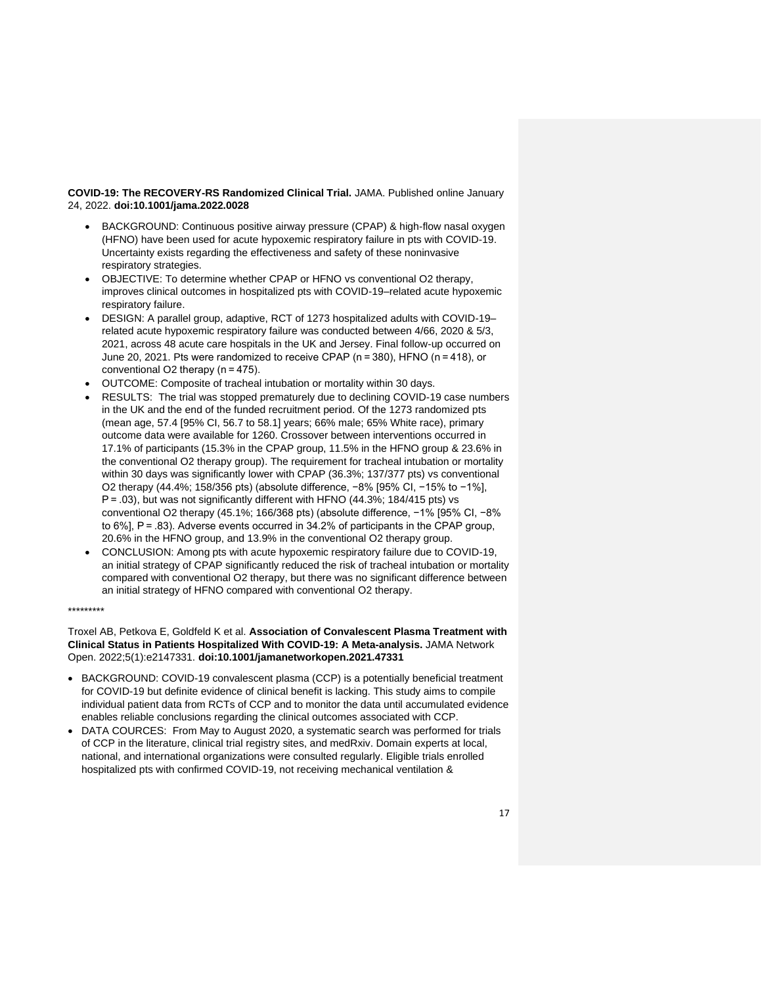**COVID-19: The RECOVERY-RS Randomized Clinical Trial.** JAMA. Published online January 24, 2022. **doi:10.1001/jama.2022.0028**

- BACKGROUND: Continuous positive airway pressure (CPAP) & high-flow nasal oxygen (HFNO) have been used for acute hypoxemic respiratory failure in pts with COVID-19. Uncertainty exists regarding the effectiveness and safety of these noninvasive respiratory strategies.
- OBJECTIVE: To determine whether CPAP or HFNO vs conventional O2 therapy, improves clinical outcomes in hospitalized pts with COVID-19–related acute hypoxemic respiratory failure.
- DESIGN: A parallel group, adaptive, RCT of 1273 hospitalized adults with COVID-19– related acute hypoxemic respiratory failure was conducted between 4/66, 2020 & 5/3, 2021, across 48 acute care hospitals in the UK and Jersey. Final follow-up occurred on June 20, 2021. Pts were randomized to receive CPAP (n = 380), HFNO (n = 418), or conventional O2 therapy (n = 475).
- OUTCOME: Composite of tracheal intubation or mortality within 30 days.
- RESULTS: The trial was stopped prematurely due to declining COVID-19 case numbers in the UK and the end of the funded recruitment period. Of the 1273 randomized pts (mean age, 57.4 [95% CI, 56.7 to 58.1] years; 66% male; 65% White race), primary outcome data were available for 1260. Crossover between interventions occurred in 17.1% of participants (15.3% in the CPAP group, 11.5% in the HFNO group & 23.6% in the conventional O2 therapy group). The requirement for tracheal intubation or mortality within 30 days was significantly lower with CPAP (36.3%; 137/377 pts) vs conventional O2 therapy (44.4%; 158/356 pts) (absolute difference, −8% [95% CI, −15% to −1%], P = .03), but was not significantly different with HFNO (44.3%; 184/415 pts) vs conventional O2 therapy (45.1%; 166/368 pts) (absolute difference, −1% [95% CI, −8% to 6%], P = .83). Adverse events occurred in 34.2% of participants in the CPAP group, 20.6% in the HFNO group, and 13.9% in the conventional O2 therapy group.
- CONCLUSION: Among pts with acute hypoxemic respiratory failure due to COVID-19. an initial strategy of CPAP significantly reduced the risk of tracheal intubation or mortality compared with conventional O2 therapy, but there was no significant difference between an initial strategy of HFNO compared with conventional O2 therapy.

\*\*\*\*\*\*\*\*\*

Troxel AB, Petkova E, Goldfeld K et al. **Association of Convalescent Plasma Treatment with Clinical Status in Patients Hospitalized With COVID-19: A Meta-analysis.** JAMA Network Open. 2022;5(1):e2147331. **doi:10.1001/jamanetworkopen.2021.47331**

- BACKGROUND: COVID-19 convalescent plasma (CCP) is a potentially beneficial treatment for COVID-19 but definite evidence of clinical benefit is lacking. This study aims to compile individual patient data from RCTs of CCP and to monitor the data until accumulated evidence enables reliable conclusions regarding the clinical outcomes associated with CCP.
- DATA COURCES: From May to August 2020, a systematic search was performed for trials of CCP in the literature, clinical trial registry sites, and medRxiv. Domain experts at local, national, and international organizations were consulted regularly. Eligible trials enrolled hospitalized pts with confirmed COVID-19, not receiving mechanical ventilation &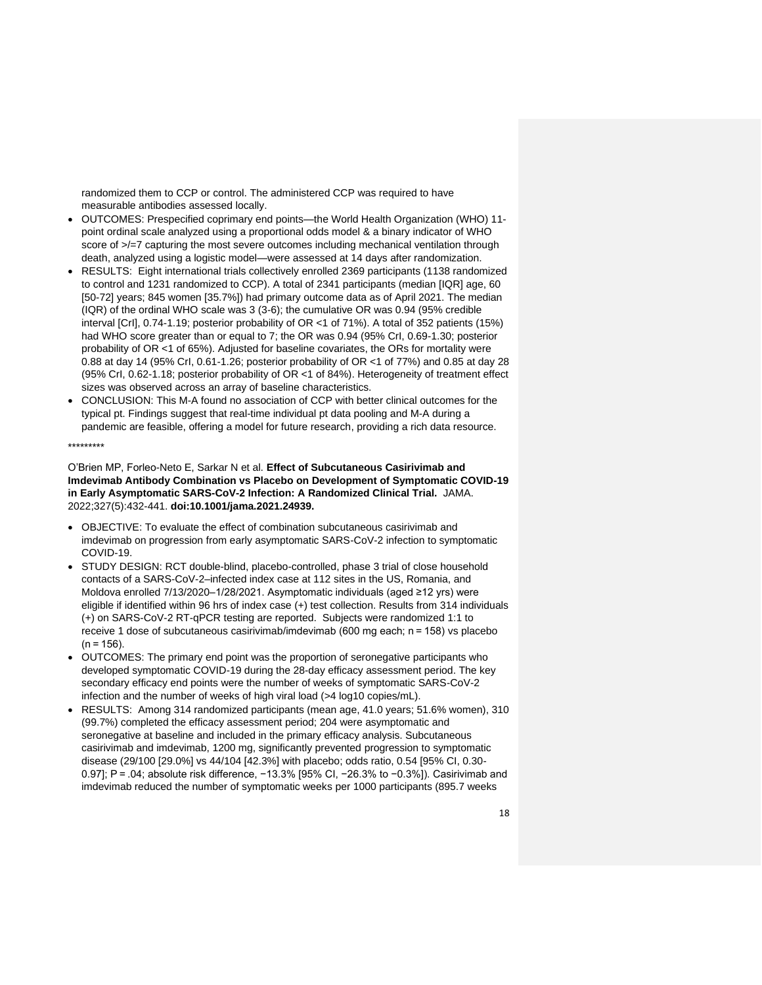randomized them to CCP or control. The administered CCP was required to have measurable antibodies assessed locally.

- OUTCOMES: Prespecified coprimary end points—the World Health Organization (WHO) 11 point ordinal scale analyzed using a proportional odds model & a binary indicator of WHO score of  $\ge$ /=7 capturing the most severe outcomes including mechanical ventilation through death, analyzed using a logistic model—were assessed at 14 days after randomization.
- RESULTS: Eight international trials collectively enrolled 2369 participants (1138 randomized to control and 1231 randomized to CCP). A total of 2341 participants (median [IQR] age, 60 [50-72] years; 845 women [35.7%]) had primary outcome data as of April 2021. The median (IQR) of the ordinal WHO scale was 3 (3-6); the cumulative OR was 0.94 (95% credible interval [CrI], 0.74-1.19; posterior probability of OR <1 of 71%). A total of 352 patients (15%) had WHO score greater than or equal to 7; the OR was 0.94 (95% CrI, 0.69-1.30; posterior probability of OR <1 of 65%). Adjusted for baseline covariates, the ORs for mortality were 0.88 at day 14 (95% CrI, 0.61-1.26; posterior probability of OR <1 of 77%) and 0.85 at day 28 (95% CrI, 0.62-1.18; posterior probability of OR <1 of 84%). Heterogeneity of treatment effect sizes was observed across an array of baseline characteristics.
- CONCLUSION: This M-A found no association of CCP with better clinical outcomes for the typical pt. Findings suggest that real-time individual pt data pooling and M-A during a pandemic are feasible, offering a model for future research, providing a rich data resource.

\*\*\*\*\*\*\*\*\*

O'Brien MP, Forleo-Neto E, Sarkar N et al. **Effect of Subcutaneous Casirivimab and Imdevimab Antibody Combination vs Placebo on Development of Symptomatic COVID-19 in Early Asymptomatic SARS-CoV-2 Infection: A Randomized Clinical Trial.** JAMA. 2022;327(5):432-441. **doi:10.1001/jama.2021.24939.**

- OBJECTIVE: To evaluate the effect of combination subcutaneous casirivimab and imdevimab on progression from early asymptomatic SARS-CoV-2 infection to symptomatic COVID-19.
- STUDY DESIGN: RCT double-blind, placebo-controlled, phase 3 trial of close household contacts of a SARS-CoV-2–infected index case at 112 sites in the US, Romania, and Moldova enrolled 7/13/2020–1/28/2021. Asymptomatic individuals (aged ≥12 yrs) were eligible if identified within 96 hrs of index case (+) test collection. Results from 314 individuals (+) on SARS-CoV-2 RT-qPCR testing are reported. Subjects were randomized 1:1 to receive 1 dose of subcutaneous casirivimab/imdevimab (600 mg each; n = 158) vs placebo  $(n = 156)$ .
- OUTCOMES: The primary end point was the proportion of seronegative participants who developed symptomatic COVID-19 during the 28-day efficacy assessment period. The key secondary efficacy end points were the number of weeks of symptomatic SARS-CoV-2 infection and the number of weeks of high viral load (>4 log10 copies/mL).
- RESULTS: Among 314 randomized participants (mean age, 41.0 years; 51.6% women), 310 (99.7%) completed the efficacy assessment period; 204 were asymptomatic and seronegative at baseline and included in the primary efficacy analysis. Subcutaneous casirivimab and imdevimab, 1200 mg, significantly prevented progression to symptomatic disease (29/100 [29.0%] vs 44/104 [42.3%] with placebo; odds ratio, 0.54 [95% CI, 0.30- 0.97]; P = .04; absolute risk difference, −13.3% [95% CI, −26.3% to −0.3%]). Casirivimab and imdevimab reduced the number of symptomatic weeks per 1000 participants (895.7 weeks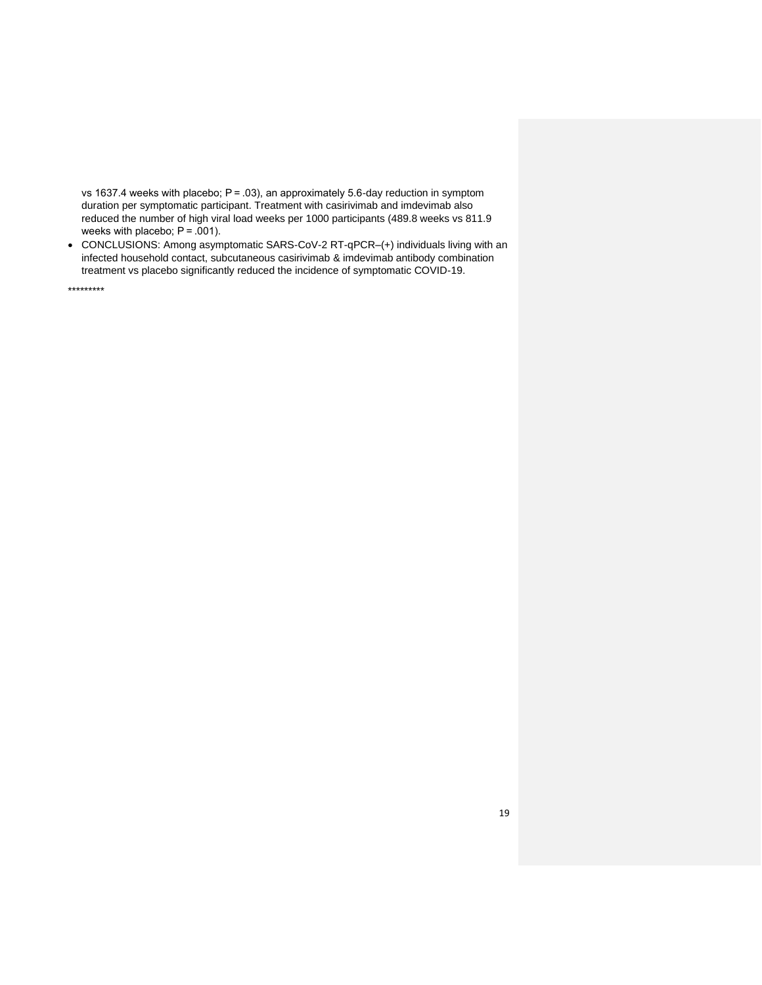vs 1637.4 weeks with placebo; P = .03), an approximately 5.6-day reduction in symptom duration per symptomatic participant. Treatment with casirivimab and imdevimab also reduced the number of high viral load weeks per 1000 participants (489.8 weeks vs 811.9 weeks with placebo;  $P = .001$ ).

• CONCLUSIONS: Among asymptomatic SARS-CoV-2 RT-qPCR–(+) individuals living with an infected household contact, subcutaneous casirivimab & imdevimab antibody combination treatment vs placebo significantly reduced the incidence of symptomatic COVID-19.

\*\*\*\*\*\*\*\*\*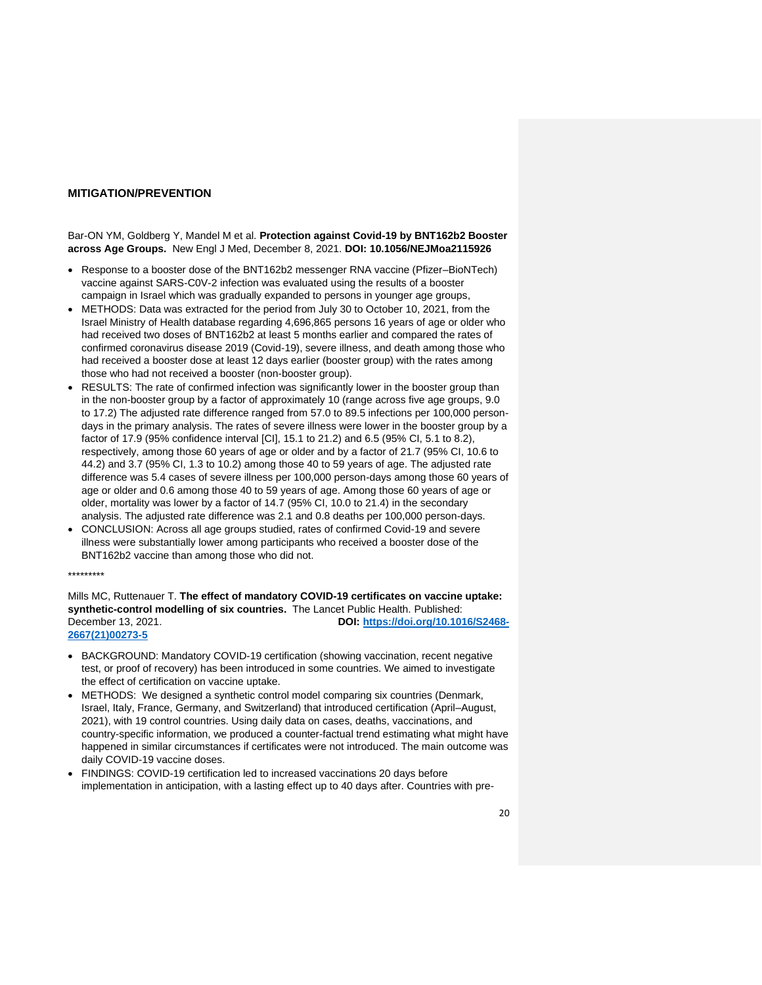# **MITIGATION/PREVENTION**

Bar-ON YM, Goldberg Y, Mandel M et al. **Protection against Covid-19 by BNT162b2 Booster across Age Groups.** New Engl J Med, December 8, 2021. **DOI: 10.1056/NEJMoa2115926**

- Response to a booster dose of the BNT162b2 messenger RNA vaccine (Pfizer–BioNTech) vaccine against SARS-C0V-2 infection was evaluated using the results of a booster campaign in Israel which was gradually expanded to persons in younger age groups,
- METHODS: Data was extracted for the period from July 30 to October 10, 2021, from the Israel Ministry of Health database regarding 4,696,865 persons 16 years of age or older who had received two doses of BNT162b2 at least 5 months earlier and compared the rates of confirmed coronavirus disease 2019 (Covid-19), severe illness, and death among those who had received a booster dose at least 12 days earlier (booster group) with the rates among those who had not received a booster (non-booster group).
- RESULTS: The rate of confirmed infection was significantly lower in the booster group than in the non-booster group by a factor of approximately 10 (range across five age groups, 9.0 to 17.2) The adjusted rate difference ranged from 57.0 to 89.5 infections per 100,000 persondays in the primary analysis. The rates of severe illness were lower in the booster group by a factor of 17.9 (95% confidence interval [CI], 15.1 to 21.2) and 6.5 (95% CI, 5.1 to 8.2), respectively, among those 60 years of age or older and by a factor of 21.7 (95% CI, 10.6 to 44.2) and 3.7 (95% CI, 1.3 to 10.2) among those 40 to 59 years of age. The adjusted rate difference was 5.4 cases of severe illness per 100,000 person-days among those 60 years of age or older and 0.6 among those 40 to 59 years of age. Among those 60 years of age or older, mortality was lower by a factor of 14.7 (95% CI, 10.0 to 21.4) in the secondary analysis. The adjusted rate difference was 2.1 and 0.8 deaths per 100,000 person-days.
- CONCLUSION: Across all age groups studied, rates of confirmed Covid-19 and severe illness were substantially lower among participants who received a booster dose of the BNT162b2 vaccine than among those who did not.

#### \*\*\*\*\*\*\*\*\*

Mills MC, Ruttenauer T. **The effect of mandatory COVID-19 certificates on vaccine uptake: synthetic-control modelling of six countries.** The Lancet Public Health. Published: December 13, 2021. **DOI: [https://doi.org/10.1016/S2468-](https://doi.org/10.1016/S2468-2667(21)00273-5) [2667\(21\)00273-5](https://doi.org/10.1016/S2468-2667(21)00273-5)**

- BACKGROUND: Mandatory COVID-19 certification (showing vaccination, recent negative test, or proof of recovery) has been introduced in some countries. We aimed to investigate the effect of certification on vaccine uptake.
- METHODS: We designed a synthetic control model comparing six countries (Denmark, Israel, Italy, France, Germany, and Switzerland) that introduced certification (April–August, 2021), with 19 control countries. Using daily data on cases, deaths, vaccinations, and country-specific information, we produced a counter-factual trend estimating what might have happened in similar circumstances if certificates were not introduced. The main outcome was daily COVID-19 vaccine doses.
- FINDINGS: COVID-19 certification led to increased vaccinations 20 days before implementation in anticipation, with a lasting effect up to 40 days after. Countries with pre-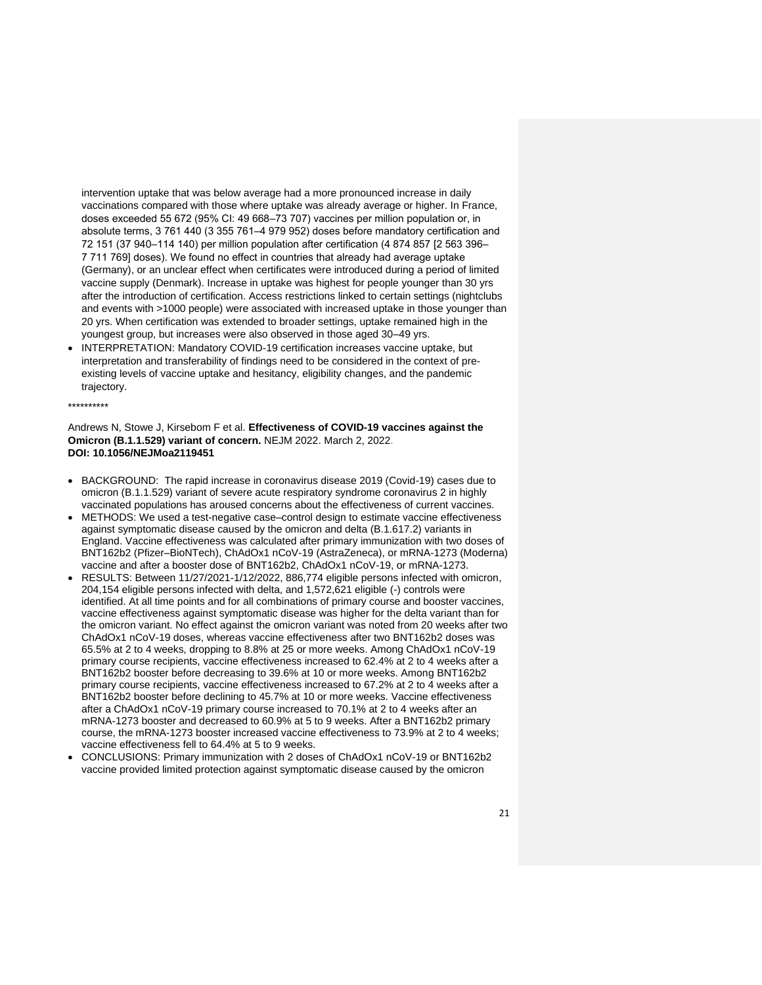intervention uptake that was below average had a more pronounced increase in daily vaccinations compared with those where uptake was already average or higher. In France, doses exceeded 55 672 (95% CI: 49 668–73 707) vaccines per million population or, in absolute terms, 3 761 440 (3 355 761–4 979 952) doses before mandatory certification and 72 151 (37 940–114 140) per million population after certification (4 874 857 [2 563 396– 7 711 769] doses). We found no effect in countries that already had average uptake (Germany), or an unclear effect when certificates were introduced during a period of limited vaccine supply (Denmark). Increase in uptake was highest for people younger than 30 yrs after the introduction of certification. Access restrictions linked to certain settings (nightclubs and events with >1000 people) were associated with increased uptake in those younger than 20 yrs. When certification was extended to broader settings, uptake remained high in the youngest group, but increases were also observed in those aged 30–49 yrs.

• INTERPRETATION: Mandatory COVID-19 certification increases vaccine uptake, but interpretation and transferability of findings need to be considered in the context of preexisting levels of vaccine uptake and hesitancy, eligibility changes, and the pandemic trajectory.

#### \*\*\*\*\*\*\*\*\*\*

Andrews N, Stowe J, Kirsebom F et al. **Effectiveness of COVID-19 vaccines against the Omicron (B.1.1.529) variant of concern.** NEJM 2022. March 2, 2022. **DOI: 10.1056/NEJMoa2119451**

- BACKGROUND: The rapid increase in coronavirus disease 2019 (Covid-19) cases due to omicron (B.1.1.529) variant of severe acute respiratory syndrome coronavirus 2 in highly vaccinated populations has aroused concerns about the effectiveness of current vaccines.
- METHODS: We used a test-negative case–control design to estimate vaccine effectiveness against symptomatic disease caused by the omicron and delta (B.1.617.2) variants in England. Vaccine effectiveness was calculated after primary immunization with two doses of BNT162b2 (Pfizer–BioNTech), ChAdOx1 nCoV-19 (AstraZeneca), or mRNA-1273 (Moderna) vaccine and after a booster dose of BNT162b2, ChAdOx1 nCoV-19, or mRNA-1273.
- RESULTS: Between 11/27/2021-1/12/2022, 886,774 eligible persons infected with omicron, 204,154 eligible persons infected with delta, and 1,572,621 eligible (-) controls were identified. At all time points and for all combinations of primary course and booster vaccines, vaccine effectiveness against symptomatic disease was higher for the delta variant than for the omicron variant. No effect against the omicron variant was noted from 20 weeks after two ChAdOx1 nCoV-19 doses, whereas vaccine effectiveness after two BNT162b2 doses was 65.5% at 2 to 4 weeks, dropping to 8.8% at 25 or more weeks. Among ChAdOx1 nCoV-19 primary course recipients, vaccine effectiveness increased to 62.4% at 2 to 4 weeks after a BNT162b2 booster before decreasing to 39.6% at 10 or more weeks. Among BNT162b2 primary course recipients, vaccine effectiveness increased to 67.2% at 2 to 4 weeks after a BNT162b2 booster before declining to 45.7% at 10 or more weeks. Vaccine effectiveness after a ChAdOx1 nCoV-19 primary course increased to 70.1% at 2 to 4 weeks after an mRNA-1273 booster and decreased to 60.9% at 5 to 9 weeks. After a BNT162b2 primary course, the mRNA-1273 booster increased vaccine effectiveness to 73.9% at 2 to 4 weeks; vaccine effectiveness fell to 64.4% at 5 to 9 weeks.
- CONCLUSIONS: Primary immunization with 2 doses of ChAdOx1 nCoV-19 or BNT162b2 vaccine provided limited protection against symptomatic disease caused by the omicron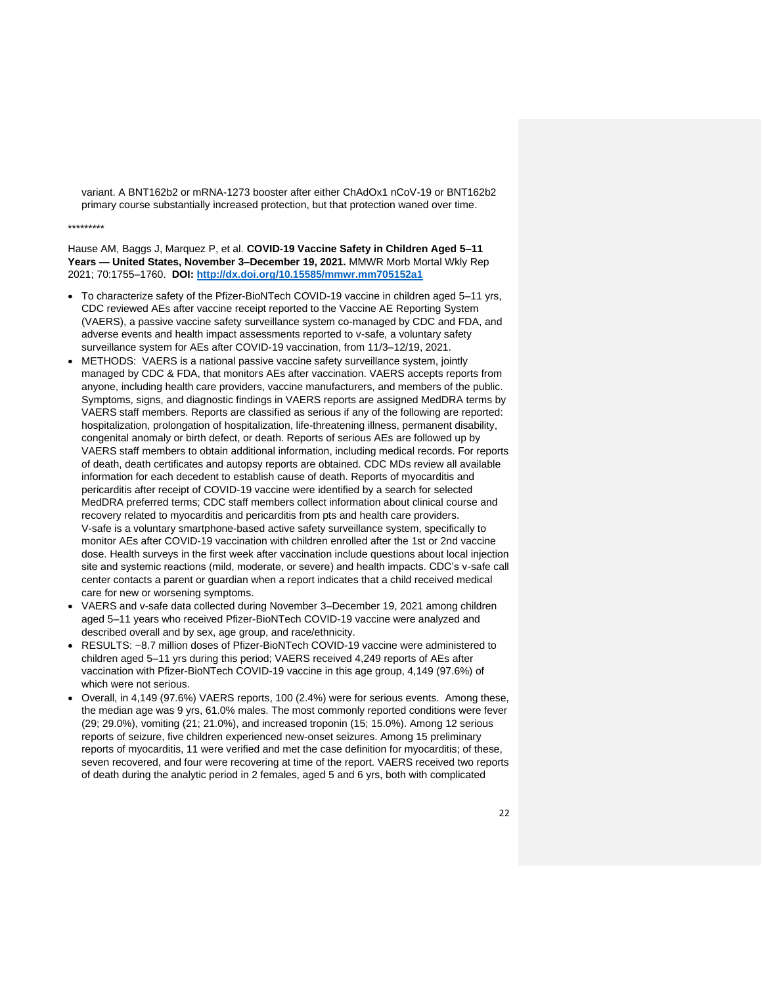variant. A BNT162b2 or mRNA-1273 booster after either ChAdOx1 nCoV-19 or BNT162b2 primary course substantially increased protection, but that protection waned over time.

#### \*\*\*\*\*\*\*\*\*

Hause AM, Baggs J, Marquez P, et al. **COVID-19 Vaccine Safety in Children Aged 5–11 Years — United States, November 3–December 19, 2021.** MMWR Morb Mortal Wkly Rep 2021; 70:1755–1760. **DOI:<http://dx.doi.org/10.15585/mmwr.mm705152a1>**

- To characterize safety of the Pfizer-BioNTech COVID-19 vaccine in children aged 5–11 yrs, CDC reviewed AEs after vaccine receipt reported to the Vaccine AE Reporting System (VAERS), a passive vaccine safety surveillance system co-managed by CDC and FDA, and adverse events and health impact assessments reported to v-safe, a voluntary safety surveillance system for AEs after COVID-19 vaccination, from 11/3–12/19, 2021.
- METHODS: VAERS is a national passive vaccine safety surveillance system, jointly managed by CDC & FDA, that monitors AEs after vaccination. VAERS accepts reports from anyone, including health care providers, vaccine manufacturers, and members of the public. Symptoms, signs, and diagnostic findings in VAERS reports are assigned MedDRA terms by VAERS staff members. Reports are classified as serious if any of the following are reported: hospitalization, prolongation of hospitalization, life-threatening illness, permanent disability, congenital anomaly or birth defect, or death. Reports of serious AEs are followed up by VAERS staff members to obtain additional information, including medical records. For reports of death, death certificates and autopsy reports are obtained. CDC MDs review all available information for each decedent to establish cause of death. Reports of myocarditis and pericarditis after receipt of COVID-19 vaccine were identified by a search for selected MedDRA preferred terms; CDC staff members collect information about clinical course and recovery related to myocarditis and pericarditis from pts and health care providers. V-safe is a voluntary smartphone-based active safety surveillance system, specifically to monitor AEs after COVID-19 vaccination with children enrolled after the 1st or 2nd vaccine dose. Health surveys in the first week after vaccination include questions about local injection site and systemic reactions (mild, moderate, or severe) and health impacts. CDC's v-safe call center contacts a parent or guardian when a report indicates that a child received medical care for new or worsening symptoms.
- VAERS and v-safe data collected during November 3–December 19, 2021 among children aged 5–11 years who received Pfizer-BioNTech COVID-19 vaccine were analyzed and described overall and by sex, age group, and race/ethnicity.
- RESULTS: ~8.7 million doses of Pfizer-BioNTech COVID-19 vaccine were administered to children aged 5–11 yrs during this period; VAERS received 4,249 reports of AEs after vaccination with Pfizer-BioNTech COVID-19 vaccine in this age group, 4,149 (97.6%) of which were not serious.
- Overall, in 4,149 (97.6%) VAERS reports, 100 (2.4%) were for serious events. Among these, the median age was 9 yrs, 61.0% males. The most commonly reported conditions were fever (29; 29.0%), vomiting (21; 21.0%), and increased troponin (15; 15.0%). Among 12 serious reports of seizure, five children experienced new-onset seizures. Among 15 preliminary reports of myocarditis, 11 were verified and met the case definition for myocarditis; of these, seven recovered, and four were recovering at time of the report. VAERS received two reports of death during the analytic period in 2 females, aged 5 and 6 yrs, both with complicated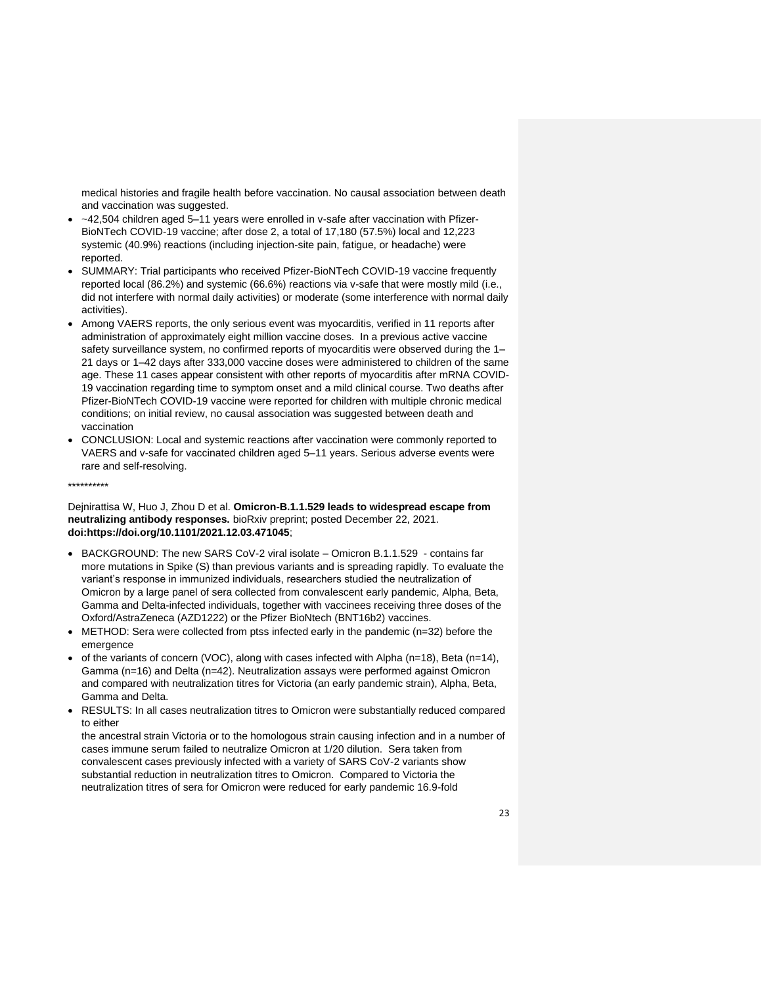medical histories and fragile health before vaccination. No causal association between death and vaccination was suggested.

- ~42,504 children aged 5–11 years were enrolled in v-safe after vaccination with Pfizer-BioNTech COVID-19 vaccine; after dose 2, a total of 17,180 (57.5%) local and 12,223 systemic (40.9%) reactions (including injection-site pain, fatigue, or headache) were reported.
- SUMMARY: Trial participants who received Pfizer-BioNTech COVID-19 vaccine frequently reported local (86.2%) and systemic (66.6%) reactions via v-safe that were mostly mild (i.e., did not interfere with normal daily activities) or moderate (some interference with normal daily activities).
- Among VAERS reports, the only serious event was myocarditis, verified in 11 reports after administration of approximately eight million vaccine doses. In a previous active vaccine safety surveillance system, no confirmed reports of myocarditis were observed during the 1– 21 days or 1–42 days after 333,000 vaccine doses were administered to children of the same age. These 11 cases appear consistent with other reports of myocarditis after mRNA COVID-19 vaccination regarding time to symptom onset and a mild clinical course. Two deaths after Pfizer-BioNTech COVID-19 vaccine were reported for children with multiple chronic medical conditions; on initial review, no causal association was suggested between death and vaccination
- CONCLUSION: Local and systemic reactions after vaccination were commonly reported to VAERS and v-safe for vaccinated children aged 5–11 years. Serious adverse events were rare and self-resolving.

\*\*\*\*\*\*\*\*\*\*

Dejnirattisa W, Huo J, Zhou D et al. **Omicron-B.1.1.529 leads to widespread escape from neutralizing antibody responses.** bioRxiv preprint; posted December 22, 2021. **doi:https://doi.org/10.1101/2021.12.03.471045**;

- BACKGROUND: The new SARS CoV-2 viral isolate Omicron B.1.1.529 contains far more mutations in Spike (S) than previous variants and is spreading rapidly. To evaluate the variant's response in immunized individuals, researchers studied the neutralization of Omicron by a large panel of sera collected from convalescent early pandemic, Alpha, Beta, Gamma and Delta-infected individuals, together with vaccinees receiving three doses of the Oxford/AstraZeneca (AZD1222) or the Pfizer BioNtech (BNT16b2) vaccines.
- METHOD: Sera were collected from ptss infected early in the pandemic (n=32) before the emergence
- of the variants of concern (VOC), along with cases infected with Alpha (n=18), Beta (n=14), Gamma (n=16) and Delta (n=42). Neutralization assays were performed against Omicron and compared with neutralization titres for Victoria (an early pandemic strain), Alpha, Beta, Gamma and Delta.
- RESULTS: In all cases neutralization titres to Omicron were substantially reduced compared to either

the ancestral strain Victoria or to the homologous strain causing infection and in a number of cases immune serum failed to neutralize Omicron at 1/20 dilution. Sera taken from convalescent cases previously infected with a variety of SARS CoV-2 variants show substantial reduction in neutralization titres to Omicron. Compared to Victoria the neutralization titres of sera for Omicron were reduced for early pandemic 16.9-fold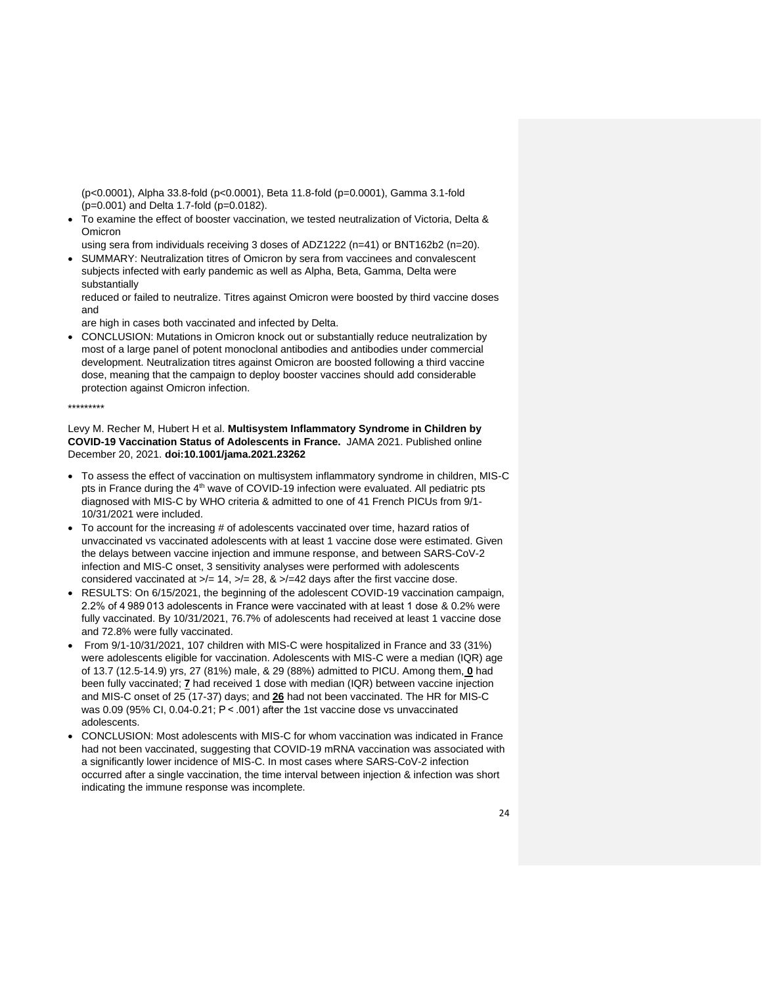(p<0.0001), Alpha 33.8-fold (p<0.0001), Beta 11.8-fold (p=0.0001), Gamma 3.1-fold (p=0.001) and Delta 1.7-fold (p=0.0182).

• To examine the effect of booster vaccination, we tested neutralization of Victoria, Delta & Omicron

using sera from individuals receiving 3 doses of ADZ1222 (n=41) or BNT162b2 (n=20). • SUMMARY: Neutralization titres of Omicron by sera from vaccinees and convalescent

subjects infected with early pandemic as well as Alpha, Beta, Gamma, Delta were substantially

reduced or failed to neutralize. Titres against Omicron were boosted by third vaccine doses and

are high in cases both vaccinated and infected by Delta.

• CONCLUSION: Mutations in Omicron knock out or substantially reduce neutralization by most of a large panel of potent monoclonal antibodies and antibodies under commercial development. Neutralization titres against Omicron are boosted following a third vaccine dose, meaning that the campaign to deploy booster vaccines should add considerable protection against Omicron infection.

### \*\*\*\*\*\*\*\*\*

Levy M. Recher M, Hubert H et al. **Multisystem Inflammatory Syndrome in Children by COVID-19 Vaccination Status of Adolescents in France.** JAMA 2021. Published online December 20, 2021. **doi:10.1001/jama.2021.23262**

- To assess the effect of vaccination on multisystem inflammatory syndrome in children, MIS-C pts in France during the 4<sup>th</sup> wave of COVID-19 infection were evaluated. All pediatric pts diagnosed with MIS-C by WHO criteria & admitted to one of 41 French PICUs from 9/1- 10/31/2021 were included.
- To account for the increasing # of adolescents vaccinated over time, hazard ratios of unvaccinated vs vaccinated adolescents with at least 1 vaccine dose were estimated. Given the delays between vaccine injection and immune response, and between SARS-CoV-2 infection and MIS-C onset, 3 sensitivity analyses were performed with adolescents considered vaccinated at  $\ge$ /= 14,  $\ge$ /= 28, &  $\ge$ /=42 days after the first vaccine dose.
- RESULTS: On 6/15/2021, the beginning of the adolescent COVID-19 vaccination campaign, 2.2% of 4 989 013 adolescents in France were vaccinated with at least 1 dose & 0.2% were fully vaccinated. By 10/31/2021, 76.7% of adolescents had received at least 1 vaccine dose and 72.8% were fully vaccinated.
- From 9/1-10/31/2021, 107 children with MIS-C were hospitalized in France and 33 (31%) were adolescents eligible for vaccination. Adolescents with MIS-C were a median (IQR) age of 13.7 (12.5-14.9) yrs, 27 (81%) male, & 29 (88%) admitted to PICU. Among them, **0** had been fully vaccinated; **7** had received 1 dose with median (IQR) between vaccine injection and MIS-C onset of 25 (17-37) days; and **26** had not been vaccinated. The HR for MIS-C was 0.09 (95% CI, 0.04-0.21; P < .001) after the 1st vaccine dose vs unvaccinated adolescents.
- CONCLUSION: Most adolescents with MIS-C for whom vaccination was indicated in France had not been vaccinated, suggesting that COVID-19 mRNA vaccination was associated with a significantly lower incidence of MIS-C. In most cases where SARS-CoV-2 infection occurred after a single vaccination, the time interval between injection & infection was short indicating the immune response was incomplete.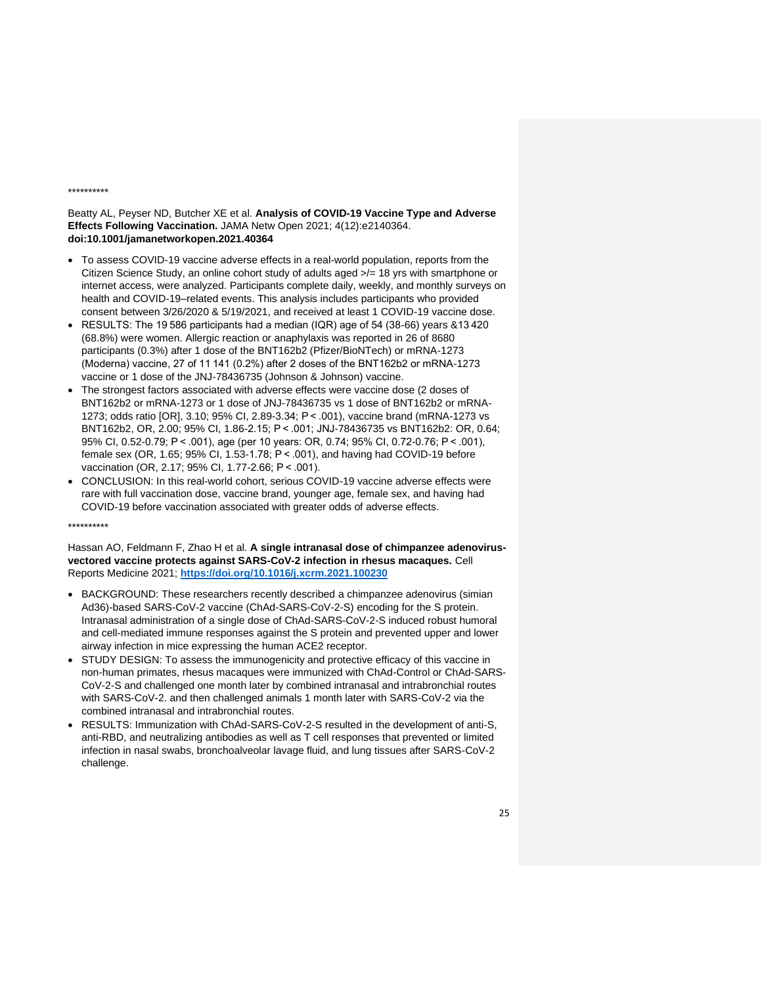#### \*\*\*\*\*\*\*\*\*\*

### Beatty AL, Peyser ND, Butcher XE et al. **Analysis of COVID-19 Vaccine Type and Adverse Effects Following Vaccination.** JAMA Netw Open 2021; 4(12):e2140364. **doi:10.1001/jamanetworkopen.2021.40364**

- To assess COVID-19 vaccine adverse effects in a real-world population, reports from the Citizen Science Study, an online cohort study of adults aged >/= 18 yrs with smartphone or internet access, were analyzed. Participants complete daily, weekly, and monthly surveys on health and COVID-19–related events. This analysis includes participants who provided consent between 3/26/2020 & 5/19/2021, and received at least 1 COVID-19 vaccine dose.
- RESULTS: The 19 586 participants had a median (IQR) age of 54 (38-66) years &13 420 (68.8%) were women. Allergic reaction or anaphylaxis was reported in 26 of 8680 participants (0.3%) after 1 dose of the BNT162b2 (Pfizer/BioNTech) or mRNA-1273 (Moderna) vaccine, 27 of 11 141 (0.2%) after 2 doses of the BNT162b2 or mRNA-1273 vaccine or 1 dose of the JNJ-78436735 (Johnson & Johnson) vaccine.
- The strongest factors associated with adverse effects were vaccine dose (2 doses of BNT162b2 or mRNA-1273 or 1 dose of JNJ-78436735 vs 1 dose of BNT162b2 or mRNA-1273; odds ratio [OR], 3.10; 95% CI, 2.89-3.34; P < .001), vaccine brand (mRNA-1273 vs BNT162b2, OR, 2.00; 95% CI, 1.86-2.15; P < .001; JNJ-78436735 vs BNT162b2: OR, 0.64; 95% CI, 0.52-0.79; P < .001), age (per 10 years: OR, 0.74; 95% CI, 0.72-0.76; P < .001), female sex (OR, 1.65; 95% CI, 1.53-1.78; P < .001), and having had COVID-19 before vaccination (OR, 2.17; 95% CI, 1.77-2.66; P < .001).
- CONCLUSION: In this real-world cohort, serious COVID-19 vaccine adverse effects were rare with full vaccination dose, vaccine brand, younger age, female sex, and having had COVID-19 before vaccination associated with greater odds of adverse effects.

\*\*\*\*\*\*\*\*\*\*

Hassan AO, Feldmann F, Zhao H et al. **A single intranasal dose of chimpanzee adenovirusvectored vaccine protects against SARS-CoV-2 infection in rhesus macaques.** Cell Reports Medicine 2021; **<https://doi.org/10.1016/j.xcrm.2021.100230>**

- BACKGROUND: These researchers recently described a chimpanzee adenovirus (simian Ad36)-based SARS-CoV-2 vaccine (ChAd-SARS-CoV-2-S) encoding for the S protein. Intranasal administration of a single dose of ChAd-SARS-CoV-2-S induced robust humoral and cell-mediated immune responses against the S protein and prevented upper and lower airway infection in mice expressing the human ACE2 receptor.
- STUDY DESIGN: To assess the immunogenicity and protective efficacy of this vaccine in non-human primates, rhesus macaques were immunized with ChAd-Control or ChAd-SARS-CoV-2-S and challenged one month later by combined intranasal and intrabronchial routes with SARS-CoV-2. and then challenged animals 1 month later with SARS-CoV-2 via the combined intranasal and intrabronchial routes.
- RESULTS: Immunization with ChAd-SARS-CoV-2-S resulted in the development of anti-S, anti-RBD, and neutralizing antibodies as well as T cell responses that prevented or limited infection in nasal swabs, bronchoalveolar lavage fluid, and lung tissues after SARS-CoV-2 challenge.